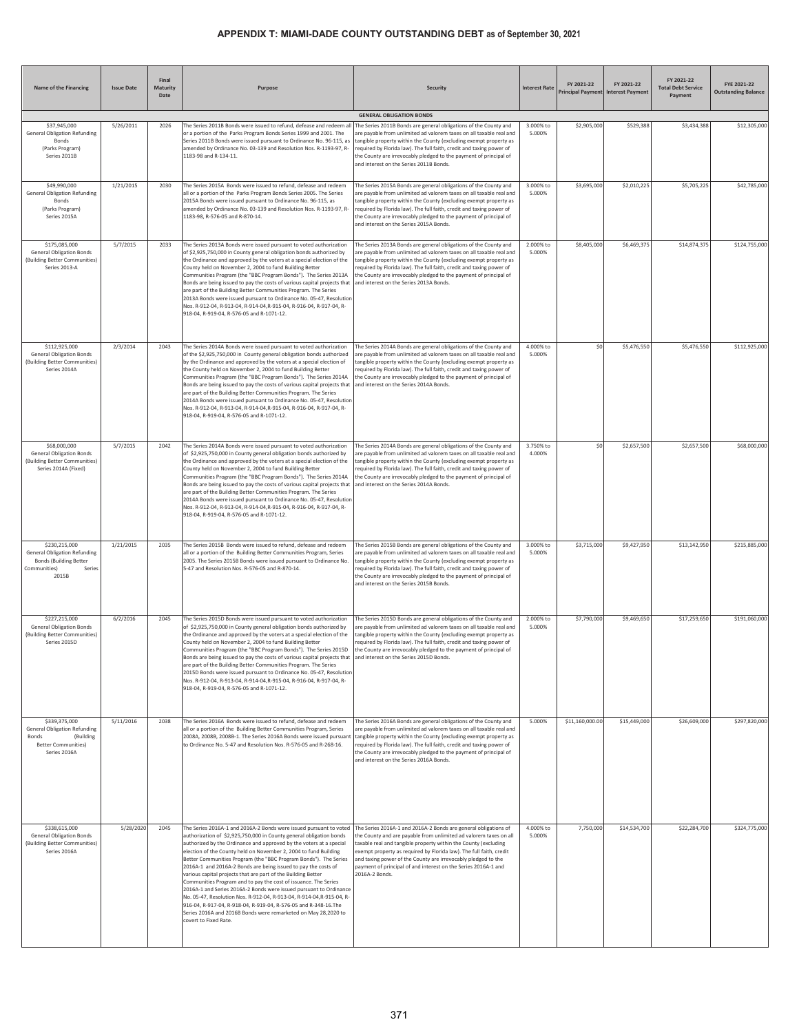| Name of the Financing                                                                                                    | <b>Issue Date</b> | Final<br>Maturity<br>Date | Purpose                                                                                                                                                                                                                                                                                                                                                                                                                                                                                                                                                                                                                                                                                                                                                                                                                                                                      | <b>Security</b>                                                                                                                                                                                                                                                                                                                                                                                                                     | <b>Interest Rate</b> | FY 2021-22      | FY 2021-22<br>Principal Payment Interest Payment | FY 2021-22<br><b>Total Debt Service</b><br>Payment | FYE 2021-22<br><b>Outstanding Balance</b> |
|--------------------------------------------------------------------------------------------------------------------------|-------------------|---------------------------|------------------------------------------------------------------------------------------------------------------------------------------------------------------------------------------------------------------------------------------------------------------------------------------------------------------------------------------------------------------------------------------------------------------------------------------------------------------------------------------------------------------------------------------------------------------------------------------------------------------------------------------------------------------------------------------------------------------------------------------------------------------------------------------------------------------------------------------------------------------------------|-------------------------------------------------------------------------------------------------------------------------------------------------------------------------------------------------------------------------------------------------------------------------------------------------------------------------------------------------------------------------------------------------------------------------------------|----------------------|-----------------|--------------------------------------------------|----------------------------------------------------|-------------------------------------------|
|                                                                                                                          |                   |                           |                                                                                                                                                                                                                                                                                                                                                                                                                                                                                                                                                                                                                                                                                                                                                                                                                                                                              | <b>GENERAL OBLIGATION BONDS</b>                                                                                                                                                                                                                                                                                                                                                                                                     |                      |                 |                                                  |                                                    |                                           |
| \$37,945,000<br><b>General Obligation Refunding</b><br>Bonds<br>(Parks Program)<br>Series 2011B                          | 5/26/2011         | 2026                      | The Series 2011B Bonds were issued to refund, defease and redeem al<br>or a portion of the Parks Program Bonds Series 1999 and 2001. The<br>Series 2011B Bonds were issued pursuant to Ordinance No. 96-115, as<br>amended by Ordinance No. 03-139 and Resolution Nos. R-1193-97, R-<br>1183-98 and R-134-11.                                                                                                                                                                                                                                                                                                                                                                                                                                                                                                                                                                | The Series 2011B Bonds are general obligations of the County and<br>are payable from unlimited ad valorem taxes on all taxable real and<br>tangible property within the County (excluding exempt property as<br>equired by Florida law). The full faith, credit and taxing power of<br>the County are irrevocably pledged to the payment of principal of<br>and interest on the Series 2011B Bonds.                                 | 3.000% to<br>5.000%  | \$2,905,000     | \$529,388                                        | \$3,434,388                                        | \$12,305,000                              |
| \$49,990,000<br><b>General Obligation Refunding</b><br>Bonds<br>(Parks Program)<br>Series 2015A                          | 1/21/2015         | 2030                      | The Series 2015A Bonds were issued to refund, defease and redeem<br>all or a portion of the Parks Program Bonds Series 2005. The Series<br>2015A Bonds were issued pursuant to Ordinance No. 96-115, as<br>amended by Ordinance No. 03-139 and Resolution Nos. R-1193-97, R-<br>1183-98, R-576-05 and R-870-14.                                                                                                                                                                                                                                                                                                                                                                                                                                                                                                                                                              | The Series 2015A Bonds are general obligations of the County and<br>are payable from unlimited ad valorem taxes on all taxable real and<br>tangible property within the County (excluding exempt property as<br>required by Florida law). The full faith, credit and taxing power of<br>the County are irrevocably pledged to the payment of principal of<br>and interest on the Series 2015A Bonds.                                | 3.000% to<br>5.000%  | \$3,695,000     | \$2,010,225                                      | \$5,705,225                                        | \$42,785,000                              |
| \$175,085,000<br><b>General Obligation Bonds</b><br>(Building Better Communities)<br>Series 2013-A                       | 5/7/2015          | 2033                      | The Series 2013A Bonds were issued pursuant to voted authorization<br>of \$2,925,750,000 in County general obligation bonds authorized by<br>the Ordinance and approved by the voters at a special election of the<br>County held on November 2, 2004 to fund Building Better<br>Communities Program (the "BBC Program Bonds"). The Series 2013A<br>Bonds are being issued to pay the costs of various capital projects that<br>are part of the Building Better Communities Program. The Series<br>2013A Bonds were issued pursuant to Ordinance No. 05-47, Resolutior<br>Nos. R-912-04, R-913-04, R-914-04, R-915-04, R-916-04, R-917-04, R-<br>918-04, R-919-04, R-576-05 and R-1071-12.                                                                                                                                                                                   | The Series 2013A Bonds are general obligations of the County and<br>are payable from unlimited ad valorem taxes on all taxable real and<br>tangible property within the County (excluding exempt property as<br>equired by Florida law). The full faith, credit and taxing power of<br>the County are irrevocably pledged to the payment of principal of<br>and interest on the Series 2013A Bonds.                                 | 2.000% to<br>5.000%  | \$8,405,000     | \$6,469,375                                      | \$14,874,375                                       | \$124,755,000                             |
| \$112,925,000<br><b>General Obligation Bonds</b><br>(Building Better Communities)<br>Series 2014A                        | 2/3/2014          | 2043                      | The Series 2014A Bonds were issued pursuant to voted authorization<br>of the \$2,925,750,000 in County general obligation bonds authorized<br>by the Ordinance and approved by the voters at a special election of<br>the County held on November 2, 2004 to fund Building Better<br>Communities Program (the "BBC Program Bonds"). The Series 2014A<br>Bonds are being issued to pay the costs of various capital projects that<br>are part of the Building Better Communities Program. The Series<br>2014A Bonds were issued pursuant to Ordinance No. 05-47, Resolution<br>Nos. R-912-04, R-913-04, R-914-04, R-915-04, R-916-04, R-917-04, R-<br>918-04, R-919-04, R-576-05 and R-1071-12.                                                                                                                                                                               | The Series 2014A Bonds are general obligations of the County and<br>are payable from unlimited ad valorem taxes on all taxable real and<br>tangible property within the County (excluding exempt property as<br>equired by Florida law). The full faith, credit and taxing power of<br>the County are irrevocably pledged to the payment of principal of<br>and interest on the Series 2014A Bonds.                                 | 4.000% to<br>5.000%  | \$0             | \$5,476,550                                      | \$5,476,550                                        | \$112,925,000                             |
| \$68,000,000<br><b>General Obligation Bonds</b><br>(Building Better Communities)<br>Series 2014A (Fixed)                 | 5/7/2015          | 2042                      | The Series 2014A Bonds were issued pursuant to voted authorization<br>of \$2,925,750,000 in County general obligation bonds authorized by<br>the Ordinance and approved by the voters at a special election of the<br>County held on November 2, 2004 to fund Building Better<br>Communities Program (the "BBC Program Bonds"). The Series 2014A<br>Bonds are being issued to pay the costs of various capital projects that<br>are part of the Building Better Communities Program. The Series<br>2014A Bonds were issued pursuant to Ordinance No. 05-47, Resolution<br>Nos. R-912-04, R-913-04, R-914-04, R-915-04, R-916-04, R-917-04, R-<br>918-04, R-919-04, R-576-05 and R-1071-12.                                                                                                                                                                                   | The Series 2014A Bonds are general obligations of the County and<br>are payable from unlimited ad valorem taxes on all taxable real and<br>tangible property within the County (excluding exempt property as<br>equired by Florida law). The full faith, credit and taxing power of<br>the County are irrevocably pledged to the payment of principal of<br>and interest on the Series 2014A Bonds.                                 | 3.750% to<br>4.000%  | \$0             | \$2,657,500                                      | \$2,657,500                                        | \$68,000,000                              |
| \$230,215,000<br><b>General Obligation Refunding</b><br><b>Bonds (Building Better</b><br>Communities)<br>Series<br>2015B | 1/21/2015         | 2035                      | The Series 2015B Bonds were issued to refund, defease and redeem<br>all or a portion of the Building Better Communities Program, Series<br>2005. The Series 2015B Bonds were issued pursuant to Ordinance No.<br>5-47 and Resolution Nos. R-576-05 and R-870-14.                                                                                                                                                                                                                                                                                                                                                                                                                                                                                                                                                                                                             | The Series 2015B Bonds are general obligations of the County and<br>are payable from unlimited ad valorem taxes on all taxable real and<br>tangible property within the County (excluding exempt property as<br>required by Florida law). The full faith, credit and taxing power of<br>the County are irrevocably pledged to the payment of principal of<br>and interest on the Series 2015B Bonds.                                | 3.000% to<br>5.000%  | \$3,715,000     | \$9,427,950                                      | \$13,142,950                                       | \$215,885,000                             |
| \$227,215,000<br><b>General Obligation Bonds</b><br>(Building Better Communities)<br>Series 2015D                        | 6/2/2016          | 2045                      | The Series 2015D Bonds were issued pursuant to voted authorization<br>of \$2,925,750,000 in County general obligation bonds authorized by<br>the Ordinance and approved by the voters at a special election of the<br>County held on November 2, 2004 to fund Building Better<br>Communities Program (the "BBC Program Bonds"). The Series 2015D.<br>Bonds are being issued to pay the costs of various capital projects that and interest on the Series 2015D Bonds.<br>are part of the Building Better Communities Program. The Series<br>2015D Bonds were issued pursuant to Ordinance No. 05-47, Resolution<br>Nos. R-912-04, R-913-04, R-914-04, R-915-04, R-916-04, R-917-04, R-<br>918-04, R-919-04, R-576-05 and R-1071-12.                                                                                                                                          | The Series 2015D Bonds are general obligations of the County and<br>are payable from unlimited ad valorem taxes on all taxable real and<br>tangible property within the County (excluding exempt property as<br>required by Florida law). The full faith, credit and taxing power of<br>the County are irrevocably pledged to the payment of principal of                                                                           | 2.000% to<br>5.000%  | \$7,790,000     | \$9,469,650                                      | \$17,259,650                                       | \$191,060,000                             |
| \$339,375,000<br><b>General Obligation Refunding</b><br>Bonds<br>(Building<br><b>Better Communities)</b><br>Series 2016A | 5/11/2016         | 2038                      | The Series 2016A Bonds were issued to refund, defease and redeem<br>all or a portion of the Building Better Communities Program, Series<br>2008A, 2008B, 2008B-1. The Series 2016A Bonds were issued pursuant<br>to Ordinance No. 5-47 and Resolution Nos. R-576-05 and R-268-16.                                                                                                                                                                                                                                                                                                                                                                                                                                                                                                                                                                                            | The Series 2016A Bonds are general obligations of the County and<br>are payable from unlimited ad valorem taxes on all taxable real and<br>tangible property within the County (excluding exempt property as<br>required by Florida law). The full faith, credit and taxing power of<br>the County are irrevocably pledged to the payment of principal of<br>and interest on the Series 2016A Bonds.                                | 5.000%               | \$11,160,000.00 | \$15,449,000                                     | \$26,609,000                                       | \$297,820,000                             |
| \$338,615,000<br><b>General Obligation Bonds</b><br>(Building Better Communities)<br>Series 2016A                        | 5/28/2020         | 2045                      | The Series 2016A-1 and 2016A-2 Bonds were issued pursuant to voted<br>authorization of \$2,925,750,000 in County general obligation bonds<br>authorized by the Ordinance and approved by the voters at a special<br>election of the County held on November 2, 2004 to fund Building<br>Better Communities Program (the "BBC Program Bonds"). The Series<br>2016A-1 and 2016A-2 Bonds are being issued to pay the costs of<br>various capital projects that are part of the Building Better<br>Communities Program and to pay the cost of issuance. The Series<br>2016A-1 and Series 2016A-2 Bonds were issued pursuant to Ordinance<br>No. 05-47, Resolution Nos. R-912-04, R-913-04, R-914-04, R-915-04, R-<br>916-04, R-917-04, R-918-04, R-919-04, R-576-05 and R-348-16. The<br>Series 2016A and 2016B Bonds were remarketed on May 28,2020 to<br>covert to Fixed Rate. | The Series 2016A-1 and 2016A-2 Bonds are general obligations of<br>the County and are payable from unlimited ad valorem taxes on all<br>taxable real and tangible property within the County (excluding<br>exempt property as required by Florida law). The full faith, credit<br>and taxing power of the County are irrevocably pledged to the<br>payment of principal of and interest on the Series 2016A-1 and<br>2016A-2 Bonds. | 4.000% to<br>5.000%  | 7,750,000       | \$14,534,700                                     | \$22,284,700                                       | \$324,775,000                             |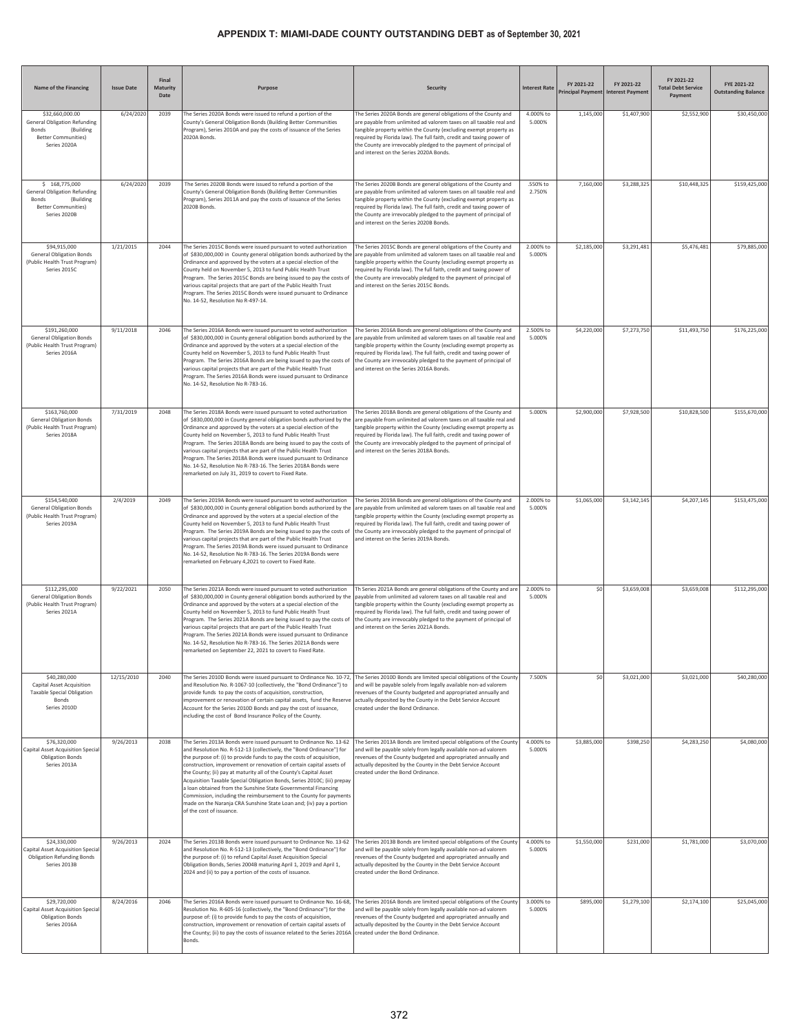| Name of the Financing                                                                                                      | <b>Issue Date</b> | Final<br>Maturity<br>Date | Purpose                                                                                                                                                                                                                                                                                                                                                                                                                                                                                                                                                                                                                                                                                  | <b>Security</b>                                                                                                                                                                                                                                                                                                                                                                                      | <b>Interest Rate</b> | FY 2021-22  | FY 2021-22<br>Principal Payment Interest Payment | FY 2021-22<br><b>Total Debt Service</b><br>Payment | FYE 2021-22<br><b>Outstanding Balance</b> |
|----------------------------------------------------------------------------------------------------------------------------|-------------------|---------------------------|------------------------------------------------------------------------------------------------------------------------------------------------------------------------------------------------------------------------------------------------------------------------------------------------------------------------------------------------------------------------------------------------------------------------------------------------------------------------------------------------------------------------------------------------------------------------------------------------------------------------------------------------------------------------------------------|------------------------------------------------------------------------------------------------------------------------------------------------------------------------------------------------------------------------------------------------------------------------------------------------------------------------------------------------------------------------------------------------------|----------------------|-------------|--------------------------------------------------|----------------------------------------------------|-------------------------------------------|
| \$32,660,000.00<br><b>General Obligation Refunding</b><br>Bonds<br>(Building<br><b>Better Communities)</b><br>Series 2020A | 6/24/2020         | 2039                      | The Series 2020A Bonds were issued to refund a portion of the<br>County's General Obligation Bonds (Building Better Communities<br>Program), Series 2010A and pay the costs of issuance of the Series<br>2020A Bonds.                                                                                                                                                                                                                                                                                                                                                                                                                                                                    | The Series 2020A Bonds are general obligations of the County and<br>are payable from unlimited ad valorem taxes on all taxable real and<br>tangible property within the County (excluding exempt property as<br>required by Florida law). The full faith, credit and taxing power of<br>the County are irrevocably pledged to the payment of principal of<br>and interest on the Series 2020A Bonds. | 4.000% to<br>5.000%  | 1,145,000   | \$1,407,900                                      | \$2,552,900                                        | \$30,450,000                              |
| \$168,775,000<br><b>General Obligation Refunding</b><br>Bonds<br>(Building<br><b>Better Communities)</b><br>Series 2020B   | 6/24/2020         | 2039                      | The Series 2020B Bonds were issued to refund a portion of the<br>County's General Obligation Bonds (Building Better Communities<br>Program), Series 2011A and pay the costs of issuance of the Series<br>2020B Bonds                                                                                                                                                                                                                                                                                                                                                                                                                                                                     | The Series 2020B Bonds are general obligations of the County and<br>are payable from unlimited ad valorem taxes on all taxable real and<br>tangible property within the County (excluding exempt property as<br>required by Florida law). The full faith, credit and taxing power of<br>the County are irrevocably pledged to the payment of principal of<br>and interest on the Series 2020B Bonds. | .550% to<br>2.750%   | 7,160,000   | \$3,288,325                                      | \$10,448,325                                       | \$159,425,000                             |
| \$94,915,000<br><b>General Obligation Bonds</b><br>(Public Health Trust Program)<br>Series 2015C                           | 1/21/2015         | 2044                      | The Series 2015C Bonds were issued pursuant to voted authorization<br>of \$830,000,000 in County general obligation bonds authorized by the<br>Ordinance and approved by the voters at a special election of the<br>County held on November 5, 2013 to fund Public Health Trust<br>Program. The Series 2015C Bonds are being issued to pay the costs of<br>various capital projects that are part of the Public Health Trust<br>Program. The Series 2015C Bonds were issued pursuant to Ordinance<br>No. 14-52, Resolution No R-497-14.                                                                                                                                                  | The Series 2015C Bonds are general obligations of the County and<br>are payable from unlimited ad valorem taxes on all taxable real and<br>tangible property within the County (excluding exempt property as<br>equired by Florida law). The full faith, credit and taxing power of<br>the County are irrevocably pledged to the payment of principal of<br>and interest on the Series 2015C Bonds.  | 2.000% to<br>5.000%  | \$2,185,000 | \$3,291,481                                      | \$5,476,481                                        | \$79,885,000                              |
| \$191,260,000<br><b>General Obligation Bonds</b><br>(Public Health Trust Program)<br>Series 2016A                          | 9/11/2018         | 2046                      | The Series 2016A Bonds were issued pursuant to voted authorization<br>of \$830,000,000 in County general obligation bonds authorized by the<br>Ordinance and approved by the voters at a special election of the<br>County held on November 5, 2013 to fund Public Health Trust<br>Program. The Series 2016A Bonds are being issued to pay the costs of<br>various capital projects that are part of the Public Health Trust<br>Program. The Series 2016A Bonds were issued pursuant to Ordinance<br>No. 14-52, Resolution No R-783-16.                                                                                                                                                  | The Series 2016A Bonds are general obligations of the County and<br>are payable from unlimited ad valorem taxes on all taxable real and<br>tangible property within the County (excluding exempt property as<br>equired by Florida law). The full faith, credit and taxing power of<br>the County are irrevocably pledged to the payment of principal of<br>and interest on the Series 2016A Bonds.  | 2.500% to<br>5.000%  | \$4,220,000 | \$7,273,750                                      | \$11,493,750                                       | \$176,225,000                             |
| \$163,760,000<br><b>General Obligation Bonds</b><br>(Public Health Trust Program)<br>Series 2018A                          | 7/31/2019         | 2048                      | The Series 2018A Bonds were issued pursuant to voted authorization<br>of \$830,000,000 in County general obligation bonds authorized by the<br>Ordinance and approved by the voters at a special election of the<br>County held on November 5, 2013 to fund Public Health Trust<br>Program. The Series 2018A Bonds are being issued to pay the costs of<br>various capital projects that are part of the Public Health Trust<br>Program. The Series 2018A Bonds were issued pursuant to Ordinance<br>No. 14-52, Resolution No R-783-16. The Series 2018A Bonds were<br>remarketed on July 31, 2019 to covert to Fixed Rate.                                                              | The Series 2018A Bonds are general obligations of the County and<br>are payable from unlimited ad valorem taxes on all taxable real and<br>tangible property within the County (excluding exempt property as<br>required by Florida law). The full faith, credit and taxing power of<br>the County are irrevocably pledged to the payment of principal of<br>and interest on the Series 2018A Bonds. | 5.000%               | \$2,900,000 | \$7,928,500                                      | \$10,828,500                                       | \$155,670,000                             |
| \$154,540,000<br><b>General Obligation Bonds</b><br>(Public Health Trust Program)<br>Series 2019A                          | 2/4/2019          | 2049                      | The Series 2019A Bonds were issued pursuant to voted authorization<br>of \$830,000,000 in County general obligation bonds authorized by the<br>Ordinance and approved by the voters at a special election of the<br>County held on November 5, 2013 to fund Public Health Trust<br>Program. The Series 2019A Bonds are being issued to pay the costs of<br>various capital projects that are part of the Public Health Trust<br>Program. The Series 2019A Bonds were issued pursuant to Ordinance<br>No. 14-52, Resolution No R-783-16. The Series 2019A Bonds were<br>remarketed on February 4,2021 to covert to Fixed Rate.                                                            | The Series 2019A Bonds are general obligations of the County and<br>are payable from unlimited ad valorem taxes on all taxable real and<br>angible property within the County (excluding exempt property as<br>equired by Florida law). The full faith, credit and taxing power of<br>the County are irrevocably pledged to the payment of principal of<br>and interest on the Series 2019A Bonds.   | 2.000% to<br>5.000%  | \$1,065,000 | \$3,142,145                                      | \$4,207,145                                        | \$153,475,000                             |
| \$112,295,000<br><b>General Obligation Bonds</b><br>(Public Health Trust Program)<br>Series 2021A                          | 9/22/2021         | 2050                      | The Series 2021A Bonds were issued pursuant to voted authorization<br>of \$830,000,000 in County general obligation bonds authorized by the<br>Ordinance and approved by the voters at a special election of the<br>County held on November 5, 2013 to fund Public Health Trust<br>Program. The Series 2021A Bonds are being issued to pay the costs of<br>various capital projects that are part of the Public Health Trust<br>Program. The Series 2021A Bonds were issued pursuant to Ordinance<br>No. 14-52, Resolution No R-783-16. The Series 2021A Bonds were<br>emarketed on September 22, 2021 to covert to Fixed Rate.                                                          | Th Series 2021A Bonds are general obligations of the County and are<br>pavable from unlimited ad valorem taxes on all taxable real and<br>tangible property within the County (excluding exempt property as<br>equired by Florida law). The full faith, credit and taxing power of<br>the County are irrevocably pledged to the payment of principal of<br>and interest on the Series 2021A Bonds.   | 2.000% to<br>5.000%  | \$0         | \$3,659,008                                      | \$3,659,008                                        | \$112,295,000                             |
| \$40,280,000<br><b>Capital Asset Acquisition</b><br><b>Taxable Special Obligation</b><br>Bonds<br>Series 2010D             | 12/15/2010        | 2040                      | The Series 2010D Bonds were issued pursuant to Ordinance No. 10-72,<br>and Resolution No. R-1067-10 (collectively, the "Bond Ordinance") to<br>provide funds to pay the costs of acquisition, construction,<br>improvement or renovation of certain capital assets, fund the Reserve<br>Account for the Series 2010D Bonds and pay the cost of issuance,<br>including the cost of Bond Insurance Policy of the County.                                                                                                                                                                                                                                                                   | The Series 2010D Bonds are limited special obligations of the County<br>and will be payable solely from legally available non-ad valorem<br>revenues of the County budgeted and appropriated annually and<br>actually deposited by the County in the Debt Service Account<br>created under the Bond Ordinance.                                                                                       | 7.500%               | \$0         | \$3,021,000                                      | \$3,021,000                                        | \$40,280,000                              |
| \$76,320,000<br>Capital Asset Acquisition Special<br><b>Obligation Bonds</b><br>Series 2013A                               | 9/26/2013         | 2038                      | The Series 2013A Bonds were issued pursuant to Ordinance No. 13-62<br>and Resolution No. R-512-13 (collectively, the "Bond Ordinance") for<br>the purpose of: (i) to provide funds to pay the costs of acquisition,<br>construction, improvement or renovation of certain capital assets of<br>the County; (ii) pay at maturity all of the County's Capital Asset<br>Acquisition Taxable Special Obligation Bonds, Series 2010C; (iii) prepay<br>a loan obtained from the Sunshine State Governmental Financing<br>Commission, including the reimbursement to the County for payments<br>made on the Naranja CRA Sunshine State Loan and; (iv) pay a portion<br>of the cost of issuance. | The Series 2013A Bonds are limited special obligations of the County<br>and will be payable solely from legally available non-ad valorem<br>evenues of the County budgeted and appropriated annually and<br>actually deposited by the County in the Debt Service Account<br>created under the Bond Ordinance.                                                                                        | 4.000% to<br>5.000%  | \$3,885,000 | \$398,250                                        | \$4,283,250                                        | \$4,080,000                               |
| \$24,330,000<br>Capital Asset Acquisition Specia<br><b>Obligation Refunding Bonds</b><br>Series 2013B                      | 9/26/2013         | 2024                      | The Series 2013B Bonds were issued pursuant to Ordinance No. 13-62<br>and Resolution No. R-512-13 (collectively, the "Bond Ordinance") for<br>the purpose of: (i) to refund Capital Asset Acquisition Special<br>Obligation Bonds, Series 2004B maturing April 1, 2019 and April 1,<br>2024 and (ii) to pay a portion of the costs of issuance.                                                                                                                                                                                                                                                                                                                                          | The Series 2013B Bonds are limited special obligations of the County<br>and will be payable solely from legally available non-ad valorem<br>revenues of the County budgeted and appropriated annually and<br>actually deposited by the County in the Debt Service Account<br>created under the Bond Ordinance.                                                                                       | 4.000% to<br>5.000%  | \$1,550,000 | \$231,000                                        | \$1,781,000                                        | \$3,070,000                               |
| \$29,720,000<br>Capital Asset Acquisition Special<br><b>Obligation Bonds</b><br>Series 2016A                               | 8/24/2016         | 2046                      | The Series 2016A Bonds were issued pursuant to Ordinance No. 16-68,<br>Resolution No. R-605-16 (collectively, the "Bond Ordinance") for the<br>purpose of: (i) to provide funds to pay the costs of acquisition,<br>construction, improvement or renovation of certain capital assets of<br>the County; (ii) to pay the costs of issuance related to the Series 2016A<br>Bonds.                                                                                                                                                                                                                                                                                                          | The Series 2016A Bonds are limited special obligations of the County<br>and will be payable solely from legally available non-ad valorem<br>revenues of the County budgeted and appropriated annually and<br>actually deposited by the County in the Debt Service Account<br>created under the Bond Ordinance.                                                                                       | 3.000% to<br>5.000%  | \$895,000   | \$1,279,100                                      | \$2,174,100                                        | \$25,045,000                              |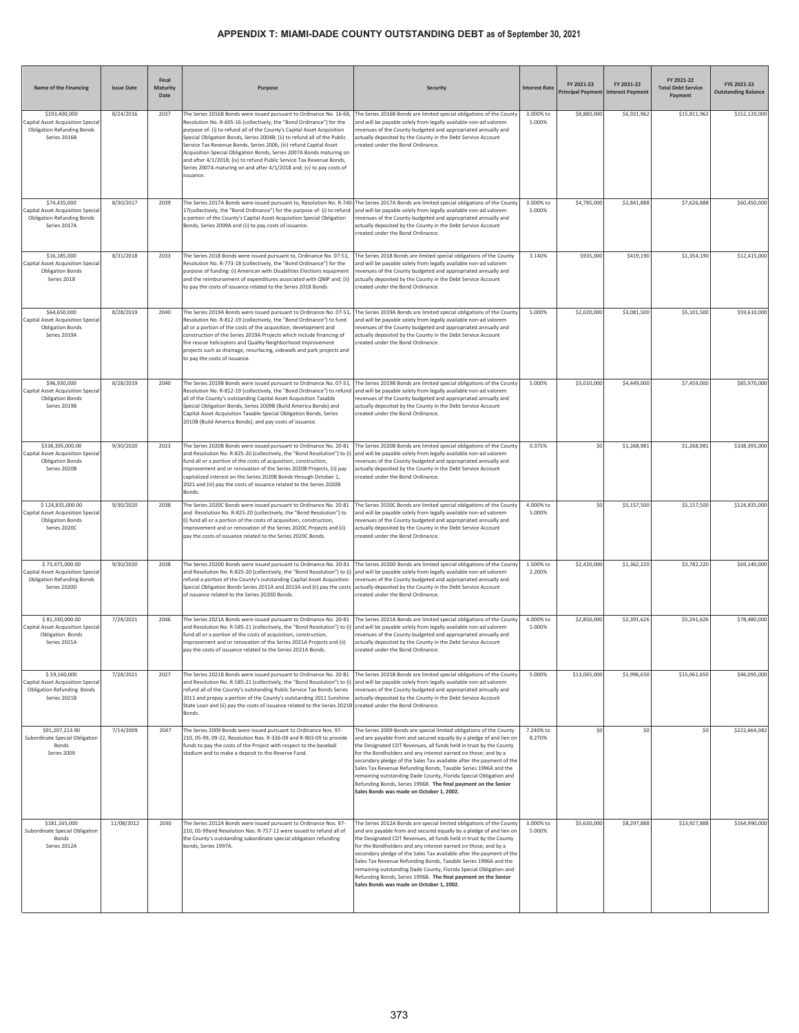| Name of the Financing                                                                                    | <b>Issue Date</b> | Final<br><b>Maturity</b><br>Date | Purpose                                                                                                                                                                                                                                                                                                                                                                                                                                                                                                                                                                                                       | <b>Security</b>                                                                                                                                                                                                                                                                                                                                                                                                                                                                                                                                                                                                  | <b>Interest Rate</b> | FY 2021-22   | FY 2021-22<br>Principal Payment Interest Payment | FY 2021-22<br><b>Total Debt Service</b><br>Payment | FYE 2021-22<br><b>Outstanding Balance</b> |
|----------------------------------------------------------------------------------------------------------|-------------------|----------------------------------|---------------------------------------------------------------------------------------------------------------------------------------------------------------------------------------------------------------------------------------------------------------------------------------------------------------------------------------------------------------------------------------------------------------------------------------------------------------------------------------------------------------------------------------------------------------------------------------------------------------|------------------------------------------------------------------------------------------------------------------------------------------------------------------------------------------------------------------------------------------------------------------------------------------------------------------------------------------------------------------------------------------------------------------------------------------------------------------------------------------------------------------------------------------------------------------------------------------------------------------|----------------------|--------------|--------------------------------------------------|----------------------------------------------------|-------------------------------------------|
| \$193,400,000<br>Capital Asset Acquisition Specia<br><b>Obligation Refunding Bonds</b><br>Series 2016B   | 8/24/2016         | 2037                             | The Series 2016B Bonds were issued pursuant to Ordinance No. 16-68,<br>Resolution No. R-605-16 (collectively, the "Bond Ordinance") for the<br>purpose of: (i) to refund all of the County's Capital Asset Acquisition<br>Special Obligation Bonds, Series 2004B; (ii) to refund all of the Public<br>Service Tax Revenue Bonds, Series 2006; (iii) refund Capital Asset<br>Acquisition Special Obligation Bonds, Series 2007A Bonds maturing on<br>and after 4/1/2018; (iv) to refund Public Service Tax Revenue Bonds,<br>Series 2007A maturing on and after 4/1/2018 and; (v) to pay costs of<br>issuance. | The Series 2016B Bonds are limited special obligations of the County<br>and will be payable solely from legally available non-ad valorem<br>evenues of the County budgeted and appropriated annually and<br>actually deposited by the County in the Debt Service Account<br>reated under the Bond Ordinance.                                                                                                                                                                                                                                                                                                     | 3.000% to<br>5.000%  | \$8,880,000  | \$6,931,962                                      | \$15,811,962                                       | \$152,120,000                             |
| \$74,435,000<br>Capital Asset Acquisition Special<br><b>Obligation Refunding Bonds</b><br>Series 2017A   | 8/30/2017         | 2039                             | The Series 2017A Bonds were issued pursuant to, Resolution No. R-740<br>17(collectively, the "Bond Ordinance") for the purpose of: (i) to refund<br>a portion of the County's Capital Asset Acquisition Special Obligation<br>Bonds, Series 2009A and (ii) to pay costs of issuance.                                                                                                                                                                                                                                                                                                                          | The Series 2017A Bonds are limited special obligations of the County<br>and will be payable solely from legally available non-ad valorem<br>evenues of the County budgeted and appropriated annually and<br>actually deposited by the County in the Debt Service Account<br>created under the Bond Ordinance.                                                                                                                                                                                                                                                                                                    | 3.000% to<br>5.000%  | \$4,785,000  | \$2,841,888                                      | \$7,626,888                                        | \$60,450,000                              |
| \$16,185,000<br>Capital Asset Acquisition Specia<br><b>Obligation Bonds</b><br>Series 2018               | 8/31/2018         | 2033                             | The Series 2018 Bonds were issued pursuant to, Ordinance No. 07-51,<br>Resolution No. R-773-18 (collectively, the "Bond Ordinance") for the<br>purpose of funding: (i) American with Disabilities Elections equipment<br>and the reimbursement of expenditures associated with QNIP and; (ii)<br>to pay the costs of issuance related to the Series 2018 Bonds.                                                                                                                                                                                                                                               | The Series 2018 Bonds are limited special obligations of the County<br>and will be payable solely from legally available non-ad valorem<br>revenues of the County budgeted and appropriated annually and<br>actually deposited by the County in the Debt Service Account<br>created under the Bond Ordinance.                                                                                                                                                                                                                                                                                                    | 3.140%               | \$935,000    | \$419,190                                        | \$1,354,190                                        | \$12,415,000                              |
| \$64,650,000<br>Capital Asset Acquisition Special<br><b>Obligation Bonds</b><br>Series 2019A             | 8/28/2019         | 2040                             | The Series 2019A Bonds were issued pursuant to Ordinance No. 07-51,<br>Resolution No. R-812-19 (collectively, the "Bond Ordinance") to fund<br>all or a portion of the costs of the acquisition, development and<br>construction of the Series 2019A Projects which include financing of<br>fire rescue helicopters and Quality Neighborhood Improvement<br>projects such as drainage, resurfacing, sidewalk and park projects and<br>to pay the costs of issuance.                                                                                                                                           | The Series 2019A Bonds are limited special obligations of the County<br>and will be payable solely from legally available non-ad valorem<br>evenues of the County budgeted and appropriated annually and<br>actually deposited by the County in the Debt Service Account<br>treated under the Bond Ordinance.                                                                                                                                                                                                                                                                                                    | 5.000%               | \$2,020,000  | \$3,081,500                                      | \$5,101,500                                        | \$59,610,000                              |
| \$96,930,000<br>Capital Asset Acquisition Special<br><b>Obligation Bonds</b><br>Series 2019B             | 8/28/2019         | 2040                             | The Series 2019B Bonds were issued pursuant to Ordinance No. 07-51,<br>Resolution No. R-812-19 (collectively, the "Bond Ordinance") to refund<br>all of the County's outstanding Capital Asset Acquisition Taxable<br>Special Obligation Bonds, Series 2009B (Build America Bonds) and<br>Capital Asset Acquisition Taxable Special Obligation Bonds, Series<br>2010B (Build America Bonds); and pay costs of issuance.                                                                                                                                                                                       | The Series 2019B Bonds are limited special obligations of the County<br>and will be payable solely from legally available non-ad valorem<br>evenues of the County budgeted and appropriated annually and<br>ctually deposited by the County in the Debt Service Account<br>created under the Bond Ordinance.                                                                                                                                                                                                                                                                                                     | 5.000%               | \$3,010,000  | \$4,449,000                                      | \$7,459,000                                        | \$85,970,000                              |
| \$338,395,000.00<br>Capital Asset Acquisition Special<br><b>Obligation Bonds</b><br>Series 2020B         | 9/30/2020         | 2023                             | The Series 2020B Bonds were issued pursuant to Ordinance No. 20-81<br>and Resolution No. R-825-20 (collectively, the "Bond Resolution") to (i<br>fund all or a portion of the costs of acquisition, construction,<br>mprovement and or renovation of the Series 2020B Projects, (ii) pay<br>capitalized interest on the Series 2020B Bonds through October 1,<br>2021 and (iii) pay the costs of issuance related to the Series 2020B<br>Bonds.                                                                                                                                                               | The Series 2020B Bonds are limited special obligations of the County<br>and will be payable solely from legally available non-ad valorem<br>evenues of the County budgeted and appropriated annually and<br>actually deposited by the County in the Debt Service Account<br>reated under the Bond Ordinance.                                                                                                                                                                                                                                                                                                     | 0.375%               | \$0          | \$1,268,981                                      | \$1,268,981                                        | \$338,395,000                             |
| \$124,835,000.00<br>Capital Asset Acquisition Specia<br><b>Obligation Bonds</b><br>Series 2020C          | 9/30/2020         | 2038                             | The Series 2020C Bonds were issued pursuant to Ordinance No. 20-81<br>and Resolution No. R-825-20 (collectively, the "Bond Resolution") to<br>(i) fund all or a portion of the costs of acquisition, construction,<br>improvement and or renovation of the Series 2020C Projects and (ii)<br>pay the costs of issuance related to the Series 2020C Bonds.                                                                                                                                                                                                                                                     | The Series 2020C Bonds are limited special obligations of the County<br>and will be payable solely from legally available non-ad valorem<br>evenues of the County budgeted and appropriated annually and<br>actually deposited by the County in the Debt Service Account<br>created under the Bond Ordinance.                                                                                                                                                                                                                                                                                                    | 4.000% to<br>5.000%  | \$0          | \$5,157,500                                      | \$5,157,500                                        | \$124,835,000                             |
| \$73,475,000.00<br>Capital Asset Acquisition Specia<br><b>Obligation Refunding Bonds</b><br>Series 2020D | 9/30/2020         | 2038                             | The Series 2020D Bonds were issued pursuant to Ordinance No. 20-81<br>and Resolution No. R-825-20 (collectively, the "Bond Resolution") to (i)<br>refund a portion of the County's outstanding Capital Asset Acquisition<br>Special Obligation Bonds Series 2011A and 2013A and (ii) pay the costs<br>of issuance related to the Series 2020D Bonds.                                                                                                                                                                                                                                                          | The Series 2020D Bonds are limited special obligations of the County<br>and will be payable solely from legally available non-ad valorem<br>revenues of the County budgeted and appropriated annually and<br>actually deposited by the County in the Debt Service Account<br>created under the Bond Ordinance.                                                                                                                                                                                                                                                                                                   | 1.500% to<br>2.200%  | \$2,420,000  | \$1,362,220                                      | \$3,782,220                                        | \$69,140,000                              |
| \$81,330,000.00<br>Capital Asset Acquisition Special<br>Obligation Bonds<br>Series 2021A                 | 7/28/2021         | 2046                             | The Series 2021A Bonds were issued pursuant to Ordinance No. 20-81<br>and Resolution No. R-585-21 (collectively, the "Bond Resolution") to (i)<br>fund all or a portion of the costs of acquisition, construction,<br>improvement and or renovation of the Series 2021A Projects and (ii)<br>pay the costs of issuance related to the Series 2021A Bonds.                                                                                                                                                                                                                                                     | The Series 2021A Bonds are limited special obligations of the County<br>and will be payable solely from legally available non-ad valorem<br>revenues of the County budgeted and appropriated annually and<br>actually deposited by the County in the Debt Service Account<br>reated under the Bond Ordinance.                                                                                                                                                                                                                                                                                                    | 4.000% to<br>5.000%  | \$2,850,000  | \$2,391,626                                      | \$5,241,626                                        | \$78,480,000                              |
| \$59,160,000<br>Capital Asset Acquisition Specia<br><b>Obligation Refunding Bonds</b><br>Series 2021B    | 7/28/2021         | 2027                             | The Series 2021B Bonds were issued pursuant to Ordinance No. 20-81<br>and Resolution No. R-585-21 (collectively, the "Bond Resolution") to (i)<br>refund all of the County's outstanding Public Service Tax Bonds Series<br>2011 and prepay a portion of the County's outstanding 2011 Sunshine<br>State Loan and (ii) pay the costs of issuance related to the Series 2021B created under the Bond Ordinance.<br>Bonds.                                                                                                                                                                                      | The Series 2021B Bonds are limited special obligations of the County<br>and will be payable solely from legally available non-ad valorem<br>revenues of the County budgeted and appropriated annually and<br>actually deposited by the County in the Debt Service Account                                                                                                                                                                                                                                                                                                                                        | 5.000%               | \$13,065,000 | \$1,996,650                                      | \$15,061,650                                       | \$46,095,000                              |
| \$91,207,213.90<br>Subordinate Special Obligation<br>Bonds<br>Series 2009                                | 7/14/2009         | 2047                             | The Series 2009 Bonds were issued pursuant to Ordinance Nos. 97-<br>210, 05-99, 09-22, Resolution Nos. R-336-09 and R-903-09 to provide<br>funds to pay the costs of the Project with respect to the baseball<br>stadium and to make a deposit to the Reserve Fund.                                                                                                                                                                                                                                                                                                                                           | The Series 2009 Bonds are special limited obligations of the County<br>and are payable from and secured equally by a pledge of and lien on<br>the Designated CDT Revenues, all funds held in trust by the County<br>for the Bondholders and any interest earned on those; and by a<br>secondary pledge of the Sales Tax available after the payment of the<br>Sales Tax Revenue Refunding Bonds, Taxable Series 1996A and the<br>remaining outstanding Dade County, Florida Special Obligation and<br>Refunding Bonds, Series 1996B. The final payment on the Senior<br>Sales Bonds was made on October 1, 2002. | 7.240% to<br>8.270%  | \$0          | \$0                                              | \$0                                                | \$222,664,082                             |
| \$181,165,000<br>Subordinate Special Obligation<br>Bonds<br>Series 2012A                                 | 11/08/2012        | 2030                             | The Series 2012A Bonds were issued pursuant to Ordinance Nos. 97-<br>210, 05-99and Resolution Nos. R-757-12 were issued to refund all of<br>the County's outstanding subordinate special obligation refunding<br>bonds, Series 1997A.                                                                                                                                                                                                                                                                                                                                                                         | The Series 2012A Bonds are special limited obligations of the County<br>and are payable from and secured equally by a pledge of and lien on<br>the Designated CDT Revenues, all funds held in trust by the County<br>for the Bondholders and any interest earned on those; and by a<br>secondary pledge of the Sales Tax available after the payment of the<br>Sales Tax Revenue Refunding Bonds, Taxable Series 1996A and the<br>emaining outstanding Dade County, Florida Special Obligation and<br>Refunding Bonds, Series 1996B. The final payment on the Senior<br>Sales Bonds was made on October 1, 2002. | 3.000% to<br>5.000%  | \$5,630,000  | \$8,297,888                                      | \$13,927,888                                       | \$164,990,000                             |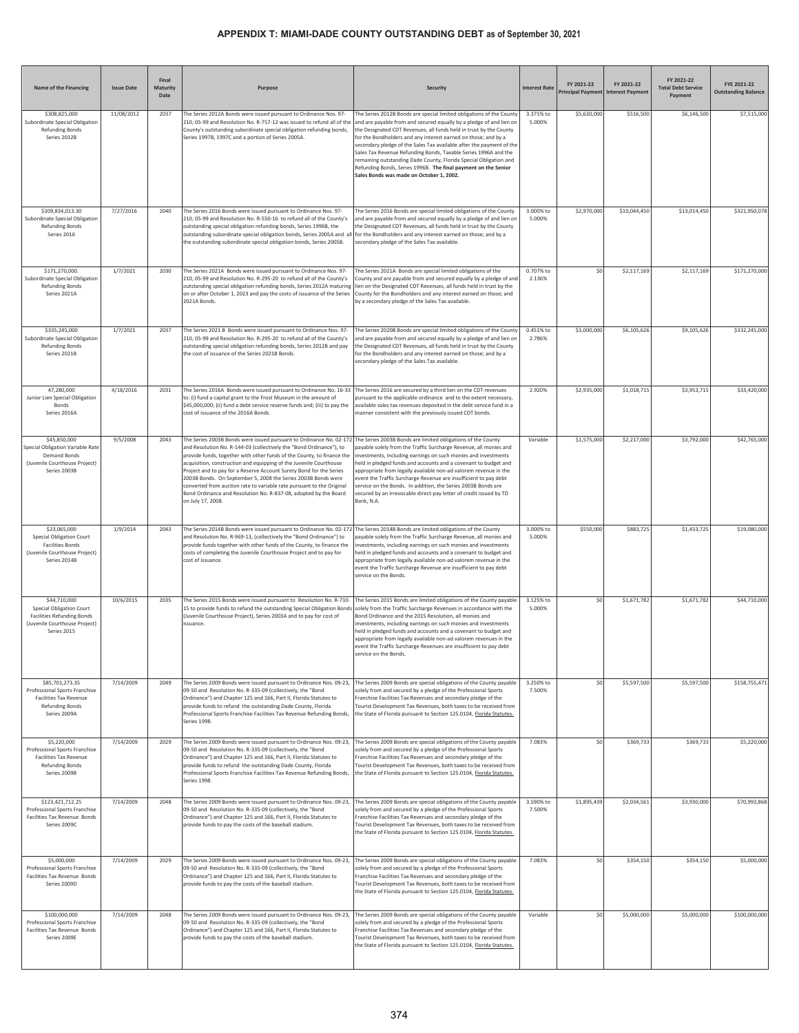| <b>Name of the Financing</b>                                                                                                         | <b>Issue Date</b> | Final<br><b>Maturity</b><br>Date | Purpose                                                                                                                                                                                                                                                                                                                                                                                                                                                                                                                                                                                              | <b>Security</b>                                                                                                                                                                                                                                                                                                                                                                                                                                                                                                                                                                                                   | <b>Interest Rate</b> | FY 2021-22<br><b>Principal Payment</b> | FY 2021-22<br><b>Interest Payment</b> | FY 2021-22<br><b>Total Debt Service</b><br>Payment | FYE 2021-22<br><b>Outstanding Balance</b> |
|--------------------------------------------------------------------------------------------------------------------------------------|-------------------|----------------------------------|------------------------------------------------------------------------------------------------------------------------------------------------------------------------------------------------------------------------------------------------------------------------------------------------------------------------------------------------------------------------------------------------------------------------------------------------------------------------------------------------------------------------------------------------------------------------------------------------------|-------------------------------------------------------------------------------------------------------------------------------------------------------------------------------------------------------------------------------------------------------------------------------------------------------------------------------------------------------------------------------------------------------------------------------------------------------------------------------------------------------------------------------------------------------------------------------------------------------------------|----------------------|----------------------------------------|---------------------------------------|----------------------------------------------------|-------------------------------------------|
| \$308,825,000<br>Subordinate Special Obligation<br><b>Refunding Bonds</b><br>Series 2012B                                            | 11/08/2012        | 2037                             | The Series 2012A Bonds were issued pursuant to Ordinance Nos. 97-<br>210, 05-99 and Resolution No. R-757-12 was issued to refund all of the<br>County's outstanding subordinate special obligation refunding bonds,<br>Series 1997B, 1997C and a portion of Series 2005A.                                                                                                                                                                                                                                                                                                                            | The Series 2012B Bonds are special limited obligations of the County<br>and are payable from and secured equally by a pledge of and lien on<br>the Designated CDT Revenues, all funds held in trust by the County<br>for the Bondholders and any interest earned on those; and by a<br>secondary pledge of the Sales Tax available after the payment of the<br>Sales Tax Revenue Refunding Bonds, Taxable Series 1996A and the<br>remaining outstanding Dade County, Florida Special Obligation and<br>Refunding Bonds, Series 1996B. The final payment on the Senior<br>Sales Bonds was made on October 1, 2002. | 3.375% to<br>5.000%  | \$5,630,000                            | \$516,500                             | \$6,146,500                                        | \$7,515,000                               |
| \$309,834,013.30<br>Subordinate Special Obligation<br><b>Refunding Bonds</b><br>Series 2016                                          | 7/27/2016         | 2040                             | The Series 2016 Bonds were issued pursuant to Ordinance Nos. 97-<br>210, 05-99 and Resolution No. R-550-16 to refund all of the County's<br>outstanding special obligation refunding bonds, Series 1996B, the<br>outstanding subordinate special obligation bonds, Series 2005A and al<br>the outstanding subordinate special obligation bonds, Series 2005B.                                                                                                                                                                                                                                        | The Series 2016 Bonds are special limited obligations of the County<br>and are payable from and secured equally by a pledge of and lien on<br>the Designated CDT Revenues, all funds held in trust by the County<br>for the Bondholders and any interest earned on those; and by a<br>secondary pledge of the Sales Tax available.                                                                                                                                                                                                                                                                                | 3.000% to<br>5.000%  | \$2,970,000                            | \$10,044,450                          | \$13,014,450                                       | \$321,950,078                             |
| \$171,270,000.<br>Subordinate Special Obligation<br><b>Refunding Bonds</b><br>Series 2021A                                           | 1/7/2021          | 2030                             | The Series 2021A Bonds were issued pursuant to Ordinance Nos. 97-<br>210, 05-99 and Resolution No. R-295-20 to refund all of the County's<br>outstanding special obligation refunding bonds, Series 2012A maturing<br>on or after October 1, 2023 and pay the costs of issuance of the Series<br>2021A Bonds.                                                                                                                                                                                                                                                                                        | The Series 2021A Bonds are special limited obligations of the<br>County and are payable from and secured equally by a pledge of and<br>lien on the Designated CDT Revenues, all funds held in trust by the<br>County for the Bondholders and any interest earned on those; and<br>by a secondary pledge of the Sales Tax available.                                                                                                                                                                                                                                                                               | 0.707% to<br>2.136%  | \$0                                    | \$2,117,169                           | \$2,117,169                                        | \$171,270,000                             |
| \$335,245,000<br>Subordinate Special Obligation<br><b>Refunding Bonds</b><br>Series 2021B                                            | 1/7/2021          | 2037                             | The Series 2021 B Bonds were issued pursuant to Ordinance Nos. 97-<br>210, 05-99 and Resolution No. R-295-20 to refund all of the County's<br>outstanding special obligation refunding bonds, Series 2012B and pay<br>the cost of issuance of the Series 2021B Bonds.                                                                                                                                                                                                                                                                                                                                | The Series 2020B Bonds are special limited obligations of the County<br>and are payable from and secured equally by a pledge of and lien or<br>the Designated CDT Revenues, all funds held in trust by the County<br>for the Bondholders and any interest earned on those; and by a<br>secondary pledge of the Sales Tax available.                                                                                                                                                                                                                                                                               | 0.451% to<br>2.786%  | \$3,000,000                            | \$6,105,626                           | \$9,105,626                                        | \$332,245,000                             |
| 47,280,000<br>Junior Lien Special Obligation<br>Bonds<br>Series 2016A                                                                | 4/18/2016         | 2031                             | The Series 2016A Bonds were issued pursuant to Ordinance No. 16-33<br>to: (i) fund a capital grant to the Frost Museum in the amount of<br>\$45,000,000; (ii) fund a debt service reserve funds and; (iii) to pay the<br>cost of issuance of the 2016A Bonds.                                                                                                                                                                                                                                                                                                                                        | The Series 2016 are secured by a third lien on the CDT revenues<br>ursuant to the applicable ordinance and to the extent necessary,<br>vailable sales tax revenues deposited in the debt service fund in a<br>nanner consistent with the previously issued CDT bonds.                                                                                                                                                                                                                                                                                                                                             | 2.920%               | \$2,935,000                            | \$1,018,715                           | \$3,953,715                                        | \$33,420,000                              |
| \$45,850,000<br>Special Obligation Variable Rate<br><b>Demand Bonds</b><br>(Juvenile Courthouse Project)<br>Series 2003B             | 9/5/2008          | 2043                             | The Series 2003B Bonds were issued pursuant to Ordinance No. 02-172<br>and Resolution No. R-144-03 (collectively the "Bond Ordinance"), to<br>provide funds, together with other funds of the County, to finance the<br>acquisition, construction and equipping of the Juvenile Courthouse<br>Project and to pay for a Reserve Account Surety Bond for the Series<br>2003B Bonds. On September 5, 2008 the Series 2003B Bonds were<br>converted from auction rate to variable rate pursuant to the Original<br>Bond Ordinance and Resolution No. R-837-08, adopted by the Board<br>on July 17, 2008. | The Series 2003B Bonds are limited obligations of the County<br>ayable solely from the Traffic Surcharge Revenue, all monies and<br>nvestments, including earnings on such monies and investments<br>held in pledged funds and accounts and a covenant to budget and<br>appropriate from legally available non-ad valorem revenue in the<br>event the Traffic Surcharge Revenue are insufficient to pay debt<br>service on the Bonds. In addition, the Series 2003B Bonds are<br>secured by an irrevocable direct-pay letter of credit issued by TD<br>Bank, N.A.                                                 | Variable             | \$1,575,000                            | \$2,217,000                           | \$3,792,000                                        | \$42,765,000                              |
| \$23,065,000<br>Special Obligation Court<br><b>Facilities Bonds</b><br>(Juvenile Courthouse Project)<br>Series 2014B                 | 1/9/2014          | 2043                             | The Series 2014B Bonds were issued pursuant to Ordinance No. 02-172<br>and Resolution No. R-969-13, (collectively the "Bond Ordinance") to<br>provide funds together with other funds of the County, to finance the<br>costs of completing the Juvenile Courthouse Project and to pay for<br>cost of issuance.                                                                                                                                                                                                                                                                                       | The Series 2014B Bonds are limited obligations of the County<br>payable solely from the Traffic Surcharge Revenue, all monies and<br>nvestments, including earnings on such monies and investments<br>held in pledged funds and accounts and a covenant to budget and<br>appropriate from legally available non-ad valorem revenue in the<br>event the Traffic Surcharge Revenue are insufficient to pay debt<br>service on the Bonds.                                                                                                                                                                            | 3.000% to<br>5.000%  | \$550,000                              | \$883,725                             | \$1,433,725                                        | \$19,080,000                              |
| \$44,710,000<br><b>Special Obligation Court</b><br><b>Facilities Refunding Bonds</b><br>(Juvenile Courthouse Project)<br>Series 2015 | 10/6/2015         | 2035                             | The Series 2015 Bonds were issued pursuant to Resolution No. R-710-<br>15 to provide funds to refund the outstanding Special Obligation Bonds<br>(Juvenile Courthouse Project), Series 2003A and to pay for cost of<br>ssuance.                                                                                                                                                                                                                                                                                                                                                                      | The Series 2015 Bonds are limited obligations of the County payable<br>solely from the Traffic Surcharge Revenues in accordance with the<br>Bond Ordinance and the 2015 Resolution, all monies and<br>nvestments, including earnings on such monies and investments<br>held in pledged funds and accounts and a covenant to budget and<br>appropriate from legally available non-ad valorem revenues in the<br>vent the Traffic Surcharge Revenues are insufficient to pay debt<br>service on the Bonds.                                                                                                          | 3.125% to<br>5.000%  | \$0                                    | \$1,671,782                           | \$1,671,782                                        | \$44,710,000                              |
| \$85,701,273.35<br>Professional Sports Franchise<br><b>Facilities Tax Revenue</b><br><b>Refunding Bonds</b><br>Series 2009A          | 7/14/2009         | 2049                             | The Series 2009 Bonds were issued pursuant to Ordinance Nos. 09-23,<br>09-50 and Resolution No. R-335-09 (collectively, the "Bond<br>Ordinance") and Chapter 125 and 166, Part II, Florida Statutes to<br>provide funds to refund the outstanding Dade County, Florida<br>Professional Sports Franchise Facilities Tax Revenue Refunding Bonds,<br>Series 1998.                                                                                                                                                                                                                                      | The Series 2009 Bonds are special obligations of the County payable<br>solely from and secured by a pledge of the Professional Sports<br>Franchise Facilities Tax Revenues and secondary pledge of the<br>Tourist Development Tax Revenues, both taxes to be received from<br>the State of Florida pursuant to Section 125.0104, Florida Statutes.                                                                                                                                                                                                                                                                | 3.250% to<br>7.500%  | \$0                                    | \$5,597,500                           | \$5,597,500                                        | \$158,755,471                             |
| \$5,220,000<br>Professional Sports Franchise<br><b>Facilities Tax Revenue</b><br><b>Refunding Bonds</b><br>Series 2009B              | 7/14/2009         | 2029                             | The Series 2009 Bonds were issued pursuant to Ordinance Nos. 09-23,<br>09-50 and Resolution No. R-335-09 (collectively, the "Bond<br>Ordinance") and Chapter 125 and 166, Part II, Florida Statutes to<br>provide funds to refund the outstanding Dade County, Florida<br>Professional Sports Franchise Facilities Tax Revenue Refunding Bonds,<br>Series 1998.                                                                                                                                                                                                                                      | The Series 2009 Bonds are special obligations of the County payable<br>olely from and secured by a pledge of the Professional Sports<br>ranchise Facilities Tax Revenues and secondary pledge of the<br>ourist Development Tax Revenues, both taxes to be received from<br>the State of Florida pursuant to Section 125.0104, Florida Statutes.                                                                                                                                                                                                                                                                   | 7.083%               | \$0                                    | \$369,733                             | \$369,733                                          | \$5,220,000                               |
| \$123,421,712.25<br>Professional Sports Franchise<br>Facilities Tax Revenue Bonds<br>Series 2009C                                    | 7/14/2009         | 2048                             | The Series 2009 Bonds were issued pursuant to Ordinance Nos. 09-23,<br>09-50 and Resolution No. R-335-09 (collectively, the "Bond<br>Ordinance") and Chapter 125 and 166, Part II, Florida Statutes to<br>provide funds to pay the costs of the baseball stadium.                                                                                                                                                                                                                                                                                                                                    | The Series 2009 Bonds are special obligations of the County payable<br>solely from and secured by a pledge of the Professional Sports<br>Franchise Facilities Tax Revenues and secondary pledge of the<br>Tourist Development Tax Revenues, both taxes to be received from<br>the State of Florida pursuant to Section 125.0104, Florida Statutes.                                                                                                                                                                                                                                                                | 3.590% to<br>7.500%  | \$1,895,439                            | \$2,034,561                           | \$3,930,000                                        | \$70,993,868                              |
| \$5,000,000<br>Professional Sports Franchise<br>Facilities Tax Revenue Bonds<br>Series 2009D                                         | 7/14/2009         | 2029                             | The Series 2009 Bonds were issued pursuant to Ordinance Nos. 09-23,<br>09-50 and Resolution No. R-335-09 (collectively, the "Bond<br>Ordinance") and Chapter 125 and 166, Part II, Florida Statutes to<br>provide funds to pay the costs of the baseball stadium.                                                                                                                                                                                                                                                                                                                                    | The Series 2009 Bonds are special obligations of the County payable<br>solely from and secured by a pledge of the Professional Sports<br>Franchise Facilities Tax Revenues and secondary pledge of the<br>Tourist Development Tax Revenues, both taxes to be received from<br>the State of Florida pursuant to Section 125.0104, Florida Statutes.                                                                                                                                                                                                                                                                | 7.083%               | \$0                                    | \$354,150                             | \$354,150                                          | \$5,000,000                               |
| \$100,000,000<br>Professional Sports Franchise<br>Facilities Tax Revenue Bonds<br>Series 2009E                                       | 7/14/2009         | 2048                             | The Series 2009 Bonds were issued pursuant to Ordinance Nos. 09-23,<br>09-50 and Resolution No. R-335-09 (collectively, the "Bond<br>Ordinance") and Chapter 125 and 166, Part II, Florida Statutes to<br>provide funds to pay the costs of the baseball stadium.                                                                                                                                                                                                                                                                                                                                    | The Series 2009 Bonds are special obligations of the County payable<br>solely from and secured by a pledge of the Professional Sports<br>Franchise Facilities Tax Revenues and secondary pledge of the<br>Fourist Development Tax Revenues, both taxes to be received from<br>the State of Florida pursuant to Section 125.0104, <i>Elorida Statutes</i> .                                                                                                                                                                                                                                                        | Variable             | \$0                                    | \$5,000,000                           | \$5,000,000                                        | \$100,000,000                             |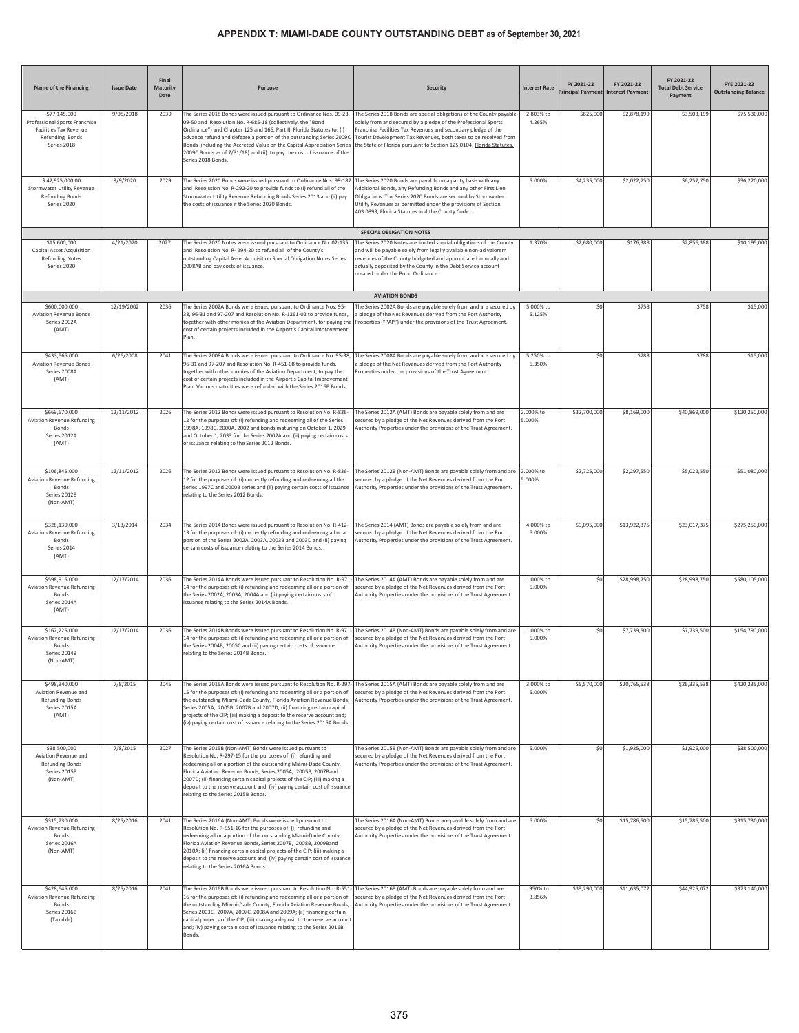| Name of the Financing                                                                                     | <b>Issue Date</b> | Final<br>Maturity<br>Date | Purpose                                                                                                                                                                                                                                                                                                                                                                                                                                                         | <b>Security</b>                                                                                                                                                                                                                                                                                                                                  | <b>Interest Rate</b> | FY 2021-22   | FY 2021-22<br>Principal Payment Interest Payment | FY 2021-22<br><b>Total Debt Service</b><br>Payment | FYE 2021-22<br><b>Outstanding Balance</b> |
|-----------------------------------------------------------------------------------------------------------|-------------------|---------------------------|-----------------------------------------------------------------------------------------------------------------------------------------------------------------------------------------------------------------------------------------------------------------------------------------------------------------------------------------------------------------------------------------------------------------------------------------------------------------|--------------------------------------------------------------------------------------------------------------------------------------------------------------------------------------------------------------------------------------------------------------------------------------------------------------------------------------------------|----------------------|--------------|--------------------------------------------------|----------------------------------------------------|-------------------------------------------|
| \$77,145,000<br>Professional Sports Franchise<br>Facilities Tax Revenue<br>Refunding Bonds<br>Series 2018 | 9/05/2018         | 2039                      | The Series 2018 Bonds were issued pursuant to Ordinance Nos. 09-23,<br>09-50 and Resolution No. R-685-18 (collectively, the "Bond<br>Ordinance") and Chapter 125 and 166, Part II, Florida Statutes to: (i)<br>advance refund and defease a portion of the outstanding Series 2009C<br>Bonds (including the Accreted Value on the Capital Appreciation Series<br>2009C Bonds as of 7/31/18) and (ii) to pay the cost of issuance of the<br>Series 2018 Bonds.   | The Series 2018 Bonds are special obligations of the County payable<br>solely from and secured by a pledge of the Professional Sports<br>ranchise Facilities Tax Revenues and secondary pledge of the<br>Fourist Development Tax Revenues, both taxes to be received from<br>he State of Florida pursuant to Section 125.0104, Florida Statutes. | 2.803% to<br>4.265%  | \$625,000    | \$2,878,199                                      | \$3,503,199                                        | \$75,530,000                              |
| \$42,925,000.00<br>Stormwater Utility Revenue<br><b>Refunding Bonds</b><br>Series 2020                    | 9/9/2020          | 2029                      | The Series 2020 Bonds were issued pursuant to Ordinance Nos. 98-187<br>and Resolution No. R-292-20 to provide funds to (i) refund all of the<br>Stormwater Utility Revenue Refunding Bonds Series 2013 and (ii) pay<br>the costs of issuance if the Series 2020 Bonds.                                                                                                                                                                                          | The Series 2020 Bonds are payable on a parity basis with any<br>Additional Bonds, any Refunding Bonds and any other First Lien<br>Obligations. The Series 2020 Bonds are secured by Stormwater<br>Jtility Revenues as permitted under the provisions of Section<br>403.0893, Florida Statutes and the County Code.                               | 5.000%               | \$4,235,000  | \$2,022,750                                      | \$6,257,750                                        | \$36,220,000                              |
|                                                                                                           |                   |                           |                                                                                                                                                                                                                                                                                                                                                                                                                                                                 | <b>SPECIAL OBLIGATION NOTES</b>                                                                                                                                                                                                                                                                                                                  |                      |              |                                                  |                                                    |                                           |
| \$15,600,000<br>Capital Asset Acquisition<br><b>Refunding Notes</b><br>Series 2020                        | 4/21/2020         | 2027                      | The Series 2020 Notes were issued pursuant to Ordinance No. 02-135<br>and Resolution No. R-294-20 to refund all of the County's<br>outstanding Capital Asset Acquisition Special Obligation Notes Series<br>2008AB and pay costs of issuance.                                                                                                                                                                                                                   | The Series 2020 Notes are limited special obligations of the County<br>nd will be payable solely from legally available non-ad valorem<br>evenues of the County budgeted and appropriated annually and<br>ctually deposited by the County in the Debt Service account<br>created under the Bond Ordinance.                                       | 1.370%               | \$2,680,000  | \$176,388                                        | \$2,856,388                                        | \$10,195,000                              |
|                                                                                                           |                   |                           |                                                                                                                                                                                                                                                                                                                                                                                                                                                                 | <b>AVIATION BONDS</b>                                                                                                                                                                                                                                                                                                                            |                      |              |                                                  |                                                    |                                           |
| \$600,000,000<br><b>Aviation Revenue Bonds</b><br>Series 2002A<br>(AMT)                                   | 12/19/2002        | 2036                      | The Series 2002A Bonds were issued pursuant to Ordinance Nos. 95-<br>38, 96-31 and 97-207 and Resolution No. R-1261-02 to provide funds,<br>together with other monies of the Aviation Department, for paying the<br>cost of certain projects included in the Airport's Capital Improvement<br>Plan.                                                                                                                                                            | The Series 2002A Bonds are payable solely from and are secured by<br>a pledge of the Net Revenues derived from the Port Authority<br>Properties ("PAP") under the provisions of the Trust Agreement.                                                                                                                                             | 5.000% to<br>5.125%  | \$0          | \$758                                            | \$758                                              | \$15,000                                  |
| \$433,565,000<br><b>Aviation Revenue Bonds</b><br>Series 2008A<br>(AMT)                                   | 6/26/2008         | 2041                      | The Series 2008A Bonds were issued pursuant to Ordinance No. 95-38,<br>96-31 and 97-207 and Resolution No. R-451-08 to provide funds,<br>together with other monies of the Aviation Department, to pay the<br>cost of certain projects included in the Airport's Capital Improvement<br>Plan, Various maturities were refunded with the Series 2016B Bonds.                                                                                                     | The Series 2008A Bonds are payable solely from and are secured by<br>pledge of the Net Revenues derived from the Port Authority<br>roperties under the provisions of the Trust Agreement.                                                                                                                                                        | 5.250% to<br>5.350%  | \$C          | \$788                                            | \$788                                              | \$15,000                                  |
| \$669,670,000<br>Aviation Revenue Refunding<br>Bonds<br>Series 2012A<br>(AMT)                             | 12/11/2012        | 2026                      | The Series 2012 Bonds were issued pursuant to Resolution No. R-836-<br>12 for the purposes of: (i) refunding and redeeming all of the Series<br>1998A, 1998C, 2000A, 2002 and bonds maturing on October 1, 2029<br>and October 1, 2033 for the Series 2002A and (ii) paying certain costs<br>of issuance relating to the Series 2012 Bonds.                                                                                                                     | The Series 2012A (AMT) Bonds are payable solely from and are<br>secured by a pledge of the Net Revenues derived from the Port<br>Authority Properties under the provisions of the Trust Agreement.                                                                                                                                               | 2.000% to<br>5.000%  | \$32,700,000 | \$8,169,000                                      | \$40,869,000                                       | \$120,250,000                             |
| \$106,845,000<br><b>Aviation Revenue Refunding</b><br>Bonds<br>Series 2012B<br>(Non-AMT)                  | 12/11/2012        | 2026                      | The Series 2012 Bonds were issued pursuant to Resolution No. R-836-<br>12 for the purposes of: (i) currently refunding and redeeming all the<br>Series 1997C and 2000B series and (ii) paying certain costs of issuance<br>relating to the Series 2012 Bonds.                                                                                                                                                                                                   | The Series 2012B (Non-AMT) Bonds are payable solely from and are<br>secured by a pledge of the Net Revenues derived from the Port<br>Authority Properties under the provisions of the Trust Agreement.                                                                                                                                           | 2.000% to<br>6.000%  | \$2,725,000  | \$2,297,550                                      | \$5,022,550                                        | \$51,080,000                              |
| \$328,130,000<br>Aviation Revenue Refunding<br>Bonds<br>Series 2014<br>(AMT)                              | 3/13/2014         | 2034                      | The Series 2014 Bonds were issued pursuant to Resolution No. R-412-<br>13 for the purposes of: (i) currently refunding and redeeming all or a<br>portion of the Series 2002A, 2003A, 2003B and 2003D and (ii) paying<br>certain costs of issuance relating to the Series 2014 Bonds.                                                                                                                                                                            | The Series 2014 (AMT) Bonds are payable solely from and are<br>secured by a pledge of the Net Revenues derived from the Port<br>Authority Properties under the provisions of the Trust Agreement.                                                                                                                                                | 4.000% to<br>5.000%  | \$9,095,000  | \$13,922,375                                     | \$23,017,375                                       | \$275,250,000                             |
| \$598,915,000<br><b>Aviation Revenue Refunding</b><br>Bonds<br>Series 2014A<br>(AMT)                      | 12/17/2014        | 2036                      | The Series 2014A Bonds were issued pursuant to Resolution No. R-971<br>14 for the purposes of: (i) refunding and redeeming all or a portion of<br>the Series 2002A, 2003A, 2004A and (ii) paying certain costs of<br>issuance relating to the Series 2014A Bonds.                                                                                                                                                                                               | The Series 2014A (AMT) Bonds are payable solely from and are<br>secured by a pledge of the Net Revenues derived from the Port<br>uthority Properties under the provisions of the Trust Agreement.                                                                                                                                                | 1.000% to<br>5.000%  | \$0          | \$28,998,750                                     | \$28,998,750                                       | \$580,105,000                             |
| \$162,225,000<br>Aviation Revenue Refunding<br>Bonds<br>Series 2014B<br>(Non-AMT)                         | 12/17/2014        | 2036                      | The Series 2014B Bonds were issued pursuant to Resolution No. R-971<br>14 for the purposes of: (i) refunding and redeeming all or a portion of<br>the Series 2004B, 2005C and (ii) paying certain costs of issuance<br>relating to the Series 2014B Bonds.                                                                                                                                                                                                      | The Series 2014B (Non-AMT) Bonds are payable solely from and are<br>secured by a pledge of the Net Revenues derived from the Port<br>Authority Properties under the provisions of the Trust Agreement.                                                                                                                                           | 1.000% to<br>5.000%  | \$C          | \$7,739,500                                      | \$7,739,500                                        | \$154,790,000                             |
| \$498,340,000<br>Aviation Revenue and<br><b>Refunding Bonds</b><br>Series 2015A<br>(AMT)                  | 7/8/2015          | 2045                      | The Series 2015A Bonds were issued pursuant to Resolution No. R-297<br>15 for the purposes of: (i) refunding and redeeming all or a portion of<br>the outstanding Miami-Dade County, Florida Aviation Revenue Bonds,<br>Series 2005A, 2005B, 2007B and 2007D; (ii) financing certain capital<br>projects of the CIP; (iii) making a deposit to the reserve account and;<br>(iv) paying certain cost of issuance relating to the Series 2015A Bonds.             | The Series 2015A (AMT) Bonds are payable solely from and are<br>secured by a pledge of the Net Revenues derived from the Port<br>Authority Properties under the provisions of the Trust Agreement.                                                                                                                                               | 3.000% to<br>5.000%  | \$5,570,000  | \$20,765,538                                     | \$26,335,538                                       | \$420,235,000                             |
| \$38,500,000<br>Aviation Revenue and<br><b>Refunding Bonds</b><br>Series 2015B<br>(Non-AMT)               | 7/8/2015          | 2027                      | The Series 2015B (Non-AMT) Bonds were issued pursuant to<br>Resolution No. R-297-15 for the purposes of: (i) refunding and<br>redeeming all or a portion of the outstanding Miami-Dade County,<br>Florida Aviation Revenue Bonds, Series 2005A, 2005B, 2007Band<br>2007D; (ii) financing certain capital projects of the CIP; (iii) making a<br>deposit to the reserve account and; (iv) paying certain cost of issuance<br>relating to the Series 2015B Bonds. | The Series 2015B (Non-AMT) Bonds are payable solely from and are<br>secured by a pledge of the Net Revenues derived from the Port<br>Authority Properties under the provisions of the Trust Agreement.                                                                                                                                           | 5.000%               | \$0          | \$1,925,000                                      | \$1,925,000                                        | \$38,500,000                              |
| \$315,730,000<br>Aviation Revenue Refunding<br>Bonds<br>Series 2016A<br>(Non-AMT)                         | 8/25/2016         | 2041                      | The Series 2016A (Non-AMT) Bonds were issued pursuant to<br>Resolution No. R-551-16 for the purposes of: (i) refunding and<br>redeeming all or a portion of the outstanding Miami-Dade County,<br>Florida Aviation Revenue Bonds, Series 2007B, 2008B, 2009Band<br>2010A; (ii) financing certain capital projects of the CIP; (iii) making a<br>deposit to the reserve account and; (iv) paying certain cost of issuance<br>relating to the Series 2016A Bonds. | The Series 2016A (Non-AMT) Bonds are payable solely from and are<br>secured by a pledge of the Net Revenues derived from the Port<br>Authority Properties under the provisions of the Trust Agreement.                                                                                                                                           | 5.000%               | \$0          | \$15,786,500                                     | \$15,786,500                                       | \$315,730,000                             |
| \$428,645,000<br>Aviation Revenue Refunding<br>Bonds<br>Series 2016B<br>(Taxable)                         | 8/25/2016         | 2041                      | The Series 2016B Bonds were issued pursuant to Resolution No. R-551<br>16 for the purposes of: (i) refunding and redeeming all or a portion of<br>the outstanding Miami-Dade County, Florida Aviation Revenue Bonds,<br>Series 2003E, 2007A, 2007C, 2008A and 2009A; (ii) financing certain<br>capital projects of the CIP; (iii) making a deposit to the reserve account<br>and; (iv) paying certain cost of issuance relating to the Series 2016B<br>Bonds.   | The Series 2016B (AMT) Bonds are payable solely from and are<br>secured by a pledge of the Net Revenues derived from the Port<br>Authority Properties under the provisions of the Trust Agreement.                                                                                                                                               | .950% to<br>3.856%   | \$33,290,000 | \$11,635,072                                     | \$44,925,072                                       | \$373,140,000                             |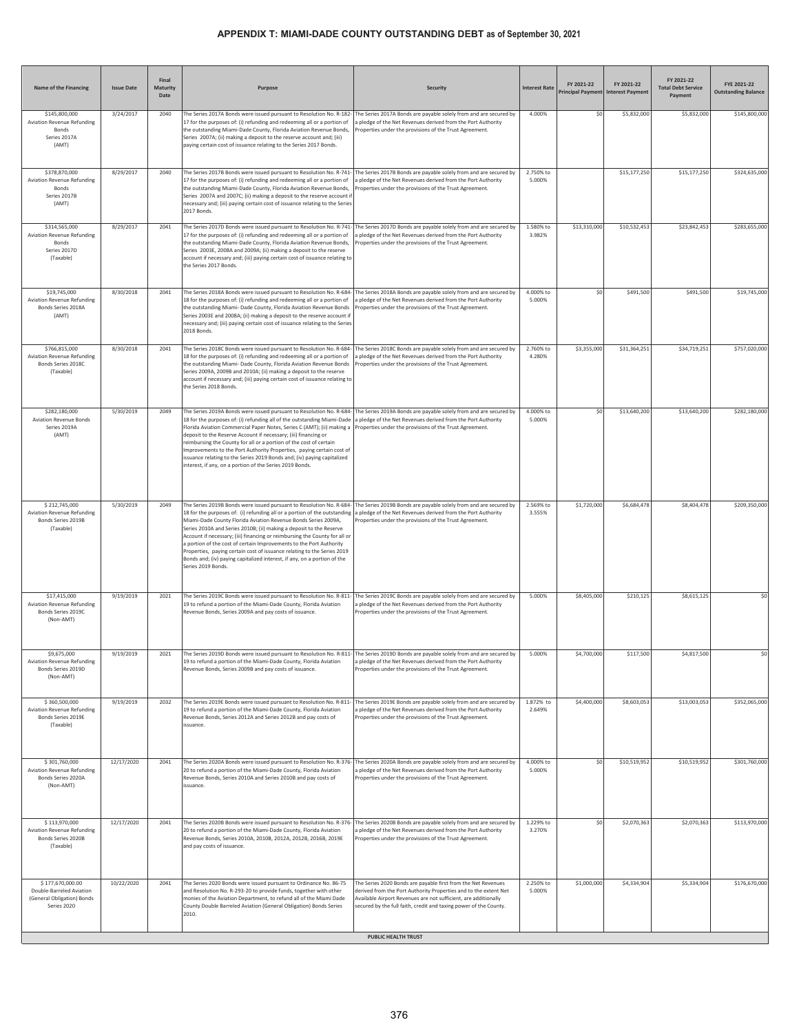| Name of the Financing                                                                     | <b>Issue Date</b> | Final<br>Maturity<br>Date | Purpose                                                                                                                                                                                                                                                                                                                                                                                                                                                                                                                                                                                                                      | <b>Security</b>                                                                                                                                                                                                                                                                                  | <b>Interest Rate</b> | FY 2021-22   | FY 2021-22<br>Principal Payment Interest Payment | FY 2021-22<br><b>Total Debt Service</b><br>Payment | FYE 2021-22<br><b>Outstanding Balance</b> |
|-------------------------------------------------------------------------------------------|-------------------|---------------------------|------------------------------------------------------------------------------------------------------------------------------------------------------------------------------------------------------------------------------------------------------------------------------------------------------------------------------------------------------------------------------------------------------------------------------------------------------------------------------------------------------------------------------------------------------------------------------------------------------------------------------|--------------------------------------------------------------------------------------------------------------------------------------------------------------------------------------------------------------------------------------------------------------------------------------------------|----------------------|--------------|--------------------------------------------------|----------------------------------------------------|-------------------------------------------|
| \$145,800,000<br>Aviation Revenue Refunding<br>Bonds<br>Series 2017A<br>(AMT)             | 3/24/2017         | 2040                      | The Series 2017A Bonds were issued pursuant to Resolution No. R-182-<br>17 for the purposes of: (i) refunding and redeeming all or a portion of<br>the outstanding Miami-Dade County, Florida Aviation Revenue Bonds,<br>Series 2007A; (ii) making a deposit to the reserve account and; (iii)<br>paying certain cost of issuance relating to the Series 2017 Bonds.                                                                                                                                                                                                                                                         | The Series 2017A Bonds are payable solely from and are secured by<br>a pledge of the Net Revenues derived from the Port Authority<br>Properties under the provisions of the Trust Agreement.                                                                                                     | 4.000%               | \$0          | \$5,832,000                                      | \$5,832,000                                        | \$145,800,000                             |
| \$378,870,000<br><b>Aviation Revenue Refunding</b><br>Bonds<br>Series 2017B<br>(AMT)      | 8/29/2017         | 2040                      | The Series 2017B Bonds were issued pursuant to Resolution No. R-741-<br>17 for the purposes of: (i) refunding and redeeming all or a portion of<br>the outstanding Miami-Dade County, Florida Aviation Revenue Bonds,<br>Series 2007A and 2007C; (ii) making a deposit to the reserve account i<br>necessary and; (iii) paying certain cost of issuance relating to the Series<br>2017 Bonds.                                                                                                                                                                                                                                | The Series 2017B Bonds are payable solely from and are secured by<br>a pledge of the Net Revenues derived from the Port Authority<br>Properties under the provisions of the Trust Agreement.                                                                                                     | 2.750% to<br>5.000%  |              | \$15,177,250                                     | \$15,177,250                                       | \$324,635,000                             |
| \$314,565,000<br>Aviation Revenue Refunding<br>Bonds<br>Series 2017D<br>(Taxable)         | 8/29/2017         | 2041                      | The Series 2017D Bonds were issued pursuant to Resolution No. R-741-<br>17 for the purposes of: (i) refunding and redeeming all or a portion of<br>the outstanding Miami-Dade County, Florida Aviation Revenue Bonds,<br>Series 2003E, 2008A and 2009A; (ii) making a deposit to the reserve<br>account if necessary and; (iii) paying certain cost of issuance relating to<br>the Series 2017 Bonds.                                                                                                                                                                                                                        | The Series 2017D Bonds are payable solely from and are secured by<br>a pledge of the Net Revenues derived from the Port Authority<br>Properties under the provisions of the Trust Agreement.                                                                                                     | 1.580% to<br>3.982%  | \$13,310,000 | \$10,532,453                                     | \$23,842,453                                       | \$283,655,000                             |
| \$19,745,000<br><b>Aviation Revenue Refunding</b><br>Bonds Series 2018A<br>(AMT)          | 8/30/2018         | 2041                      | The Series 2018A Bonds were issued pursuant to Resolution No. R-684-<br>18 for the purposes of: (i) refunding and redeeming all or a portion of<br>the outstanding Miami- Dade County, Florida Aviation Revenue Bonds<br>Series 2003E and 2008A; (ii) making a deposit to the reserve account if<br>necessary and; (iii) paying certain cost of issuance relating to the Series<br>2018 Bonds.                                                                                                                                                                                                                               | The Series 2018A Bonds are payable solely from and are secured by<br>pledge of the Net Revenues derived from the Port Authority<br>roperties under the provisions of the Trust Agreement.                                                                                                        | 4.000% to<br>5.000%  | \$0          | \$491,500                                        | \$491,500                                          | \$19,745,000                              |
| \$766,815,000<br>Aviation Revenue Refunding<br>Bonds Series 2018C<br>(Taxable)            | 8/30/2018         | 2041                      | The Series 2018C Bonds were issued pursuant to Resolution No. R-684<br>18 for the purposes of: (i) refunding and redeeming all or a portion of<br>the outstanding Miami- Dade County, Florida Aviation Revenue Bonds<br>Series 2009A, 2009B and 2010A; (ii) making a deposit to the reserve<br>account if necessary and; (iii) paying certain cost of issuance relating to<br>the Series 2018 Bonds.                                                                                                                                                                                                                         | The Series 2018C Bonds are payable solely from and are secured by<br>a pledge of the Net Revenues derived from the Port Authority<br>Properties under the provisions of the Trust Agreement.                                                                                                     | 2.760% to<br>4.280%  | \$3,355,000  | \$31,364,251                                     | \$34,719,251                                       | \$757,020,000                             |
| \$282,180,000<br><b>Aviation Revenue Bonds</b><br>Series 2019A<br>(AMT)                   | 5/30/2019         | 2049                      | The Series 2019A Bonds were issued pursuant to Resolution No. R-684-<br>18 for the purposes of: (i) refunding all of the outstanding Miami-Dade<br>Florida Aviation Commercial Paper Notes, Series C (AMT); (ii) making a<br>deposit to the Reserve Account if necessary; (iii) financing or<br>reimbursing the County for all or a portion of the cost of certain<br>Improvements to the Port Authority Properties, paying certain cost of<br>issuance relating to the Series 2019 Bonds and; (iv) paying capitalized<br>interest, if any, on a portion of the Series 2019 Bonds.                                           | The Series 2019A Bonds are payable solely from and are secured by<br>a pledge of the Net Revenues derived from the Port Authority<br>Properties under the provisions of the Trust Agreement.                                                                                                     | 4.000% to<br>5.000%  | \$0          | \$13,640,200                                     | \$13,640,200                                       | \$282,180,000                             |
| \$212,745,000<br>Aviation Revenue Refunding<br>Bonds Series 2019B<br>(Taxable)            | 5/30/2019         | 2049                      | The Series 2019B Bonds were issued pursuant to Resolution No. R-684-<br>18 for the purposes of: (i) refunding all or a portion of the outstanding<br>Miami-Dade County Florida Aviation Revenue Bonds Series 2009A,<br>Series 2010A and Series 2010B; (ii) making a deposit to the Reserve<br>Account if necessary; (iii) financing or reimbursing the County for all or<br>a portion of the cost of certain Improvements to the Port Authority<br>Properties, paying certain cost of issuance relating to the Series 2019<br>Bonds and; (iv) paying capitalized interest, if any, on a portion of the<br>Series 2019 Bonds. | The Series 2019B Bonds are payable solely from and are secured by<br>a pledge of the Net Revenues derived from the Port Authority<br>Properties under the provisions of the Trust Agreement.                                                                                                     | 2.569% to<br>3.555%  | \$1,720,000  | \$6,684,478                                      | \$8,404,478                                        | \$209,350,000                             |
| \$17,415,000<br>Aviation Revenue Refunding<br>Bonds Series 2019C<br>(Non-AMT)             | 9/19/2019         | 2021                      | The Series 2019C Bonds were issued pursuant to Resolution No. R-811-<br>19 to refund a portion of the Miami-Dade County, Florida Aviation<br>Revenue Bonds, Series 2009A and pay costs of issuance.                                                                                                                                                                                                                                                                                                                                                                                                                          | The Series 2019C Bonds are payable solely from and are secured by<br>a pledge of the Net Revenues derived from the Port Authority<br>Properties under the provisions of the Trust Agreement.                                                                                                     | 5.000%               | \$8,405,000  | \$210,125                                        | \$8,615,125                                        | \$0                                       |
| \$9,675,000<br>Aviation Revenue Refunding<br>Bonds Series 2019D<br>(Non-AMT)              | 9/19/2019         | 2021                      | The Series 2019D Bonds were issued pursuant to Resolution No. R-811-<br>19 to refund a portion of the Miami-Dade County, Florida Aviation<br>Revenue Bonds, Series 2009B and pay costs of issuance.                                                                                                                                                                                                                                                                                                                                                                                                                          | The Series 2019D Bonds are payable solely from and are secured by<br>a pledge of the Net Revenues derived from the Port Authority<br>Properties under the provisions of the Trust Agreement.                                                                                                     | 5.000%               | \$4,700,000  | \$117,500                                        | \$4,817,500                                        | \$0                                       |
| \$360,500,000<br>Aviation Revenue Refunding<br>Bonds Series 2019E<br>(Taxable)            | 9/19/2019         | 2032                      | The Series 2019E Bonds were issued pursuant to Resolution No. R-811-<br>19 to refund a portion of the Miami-Dade County, Florida Aviation<br>Revenue Bonds, Series 2012A and Series 2012B and pay costs of<br>issuance.                                                                                                                                                                                                                                                                                                                                                                                                      | The Series 2019E Bonds are payable solely from and are secured by<br>a pledge of the Net Revenues derived from the Port Authority<br>Properties under the provisions of the Trust Agreement.                                                                                                     | 1.872% to<br>2.649%  | \$4,400,000  | \$8,603,053                                      | \$13,003,053                                       | \$352,065,000                             |
| \$301,760,000<br>Aviation Revenue Refunding<br>Bonds Series 2020A<br>(Non-AMT)            | 12/17/2020        | 2041                      | The Series 2020A Bonds were issued pursuant to Resolution No. R-376-<br>20 to refund a portion of the Miami-Dade County, Florida Aviation<br>Revenue Bonds, Series 2010A and Series 2010B and pay costs of<br>issuance.                                                                                                                                                                                                                                                                                                                                                                                                      | The Series 2020A Bonds are payable solely from and are secured by<br>a pledge of the Net Revenues derived from the Port Authority<br>Properties under the provisions of the Trust Agreement.                                                                                                     | 4.000% to<br>5.000%  | \$0          | \$10,519,952                                     | \$10,519,952                                       | \$301,760,000                             |
| \$113,970,000<br>Aviation Revenue Refunding<br>Bonds Series 2020B<br>(Taxable)            | 12/17/2020        | 2041                      | The Series 2020B Bonds were issued pursuant to Resolution No. R-376-<br>20 to refund a portion of the Miami-Dade County, Florida Aviation<br>Revenue Bonds, Series 2010A, 2010B, 2012A, 2012B, 2016B, 2019E<br>and pay costs of issuance.                                                                                                                                                                                                                                                                                                                                                                                    | The Series 2020B Bonds are payable solely from and are secured by<br>a pledge of the Net Revenues derived from the Port Authority<br>Properties under the provisions of the Trust Agreement.                                                                                                     | 1.229% to<br>3.270%  | \$0          | \$2,070,363                                      | \$2,070,363                                        | \$113,970,000                             |
| \$177,670,000.00<br>Double-Barreled Aviation<br>(General Obligation) Bonds<br>Series 2020 | 10/22/2020        | 2041                      | The Series 2020 Bonds were issued pursuant to Ordinance No. 86-75<br>and Resolution No. R-293-20 to provide funds, together with other<br>monies of the Aviation Department, to refund all of the Miami Dade<br>County Double Barreled Aviation (General Obligation) Bonds Series<br>2010.                                                                                                                                                                                                                                                                                                                                   | The Series 2020 Bonds are payable first from the Net Revenues<br>derived from the Port Authority Properties and to the extent Net<br>Available Airport Revenues are not sufficient, are additionally<br>secured by the full faith, credit and taxing power of the County.<br>PUBLIC HEALTH TRUST | 2.250% to<br>5.000%  | \$1,000,000  | \$4,334,904                                      | \$5,334,904                                        | \$176,670,000                             |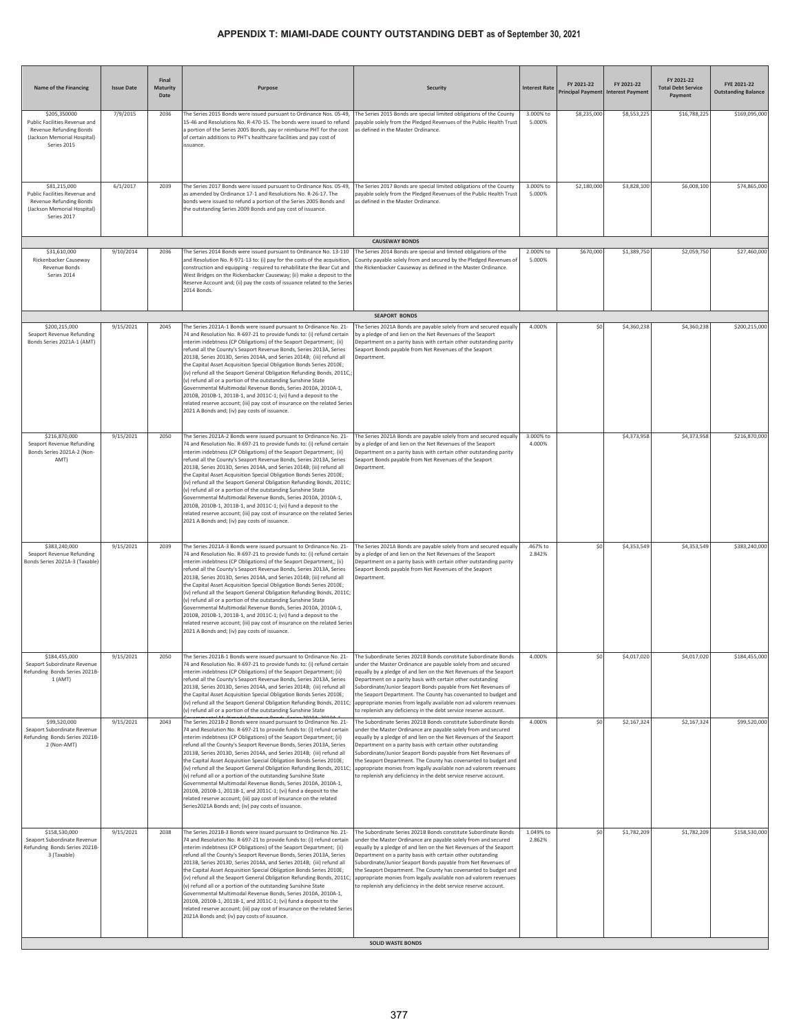| Name of the Financing                                                                                                  | <b>Issue Date</b> | Final<br>Maturity<br>Date | Purpose                                                                                                                                                                                                                                                                                                                                                                                                                                                                                                                                                                                                                                                                                                                                                                                                                                                     | <b>Security</b>                                                                                                                                                                                                                                                                                                                                                                                                                                                                                                                                     | <b>Interest Rate</b> | FY 2021-22   | FY 2021-22<br>Principal Payment Interest Payment | FY 2021-22<br><b>Total Debt Service</b><br>Payment | FYE 2021-22<br><b>Outstanding Balance</b> |
|------------------------------------------------------------------------------------------------------------------------|-------------------|---------------------------|-------------------------------------------------------------------------------------------------------------------------------------------------------------------------------------------------------------------------------------------------------------------------------------------------------------------------------------------------------------------------------------------------------------------------------------------------------------------------------------------------------------------------------------------------------------------------------------------------------------------------------------------------------------------------------------------------------------------------------------------------------------------------------------------------------------------------------------------------------------|-----------------------------------------------------------------------------------------------------------------------------------------------------------------------------------------------------------------------------------------------------------------------------------------------------------------------------------------------------------------------------------------------------------------------------------------------------------------------------------------------------------------------------------------------------|----------------------|--------------|--------------------------------------------------|----------------------------------------------------|-------------------------------------------|
| \$205,350000<br>Public Facilities Revenue and<br>Revenue Refunding Bonds<br>(Jackson Memorial Hospital)<br>Series 2015 | 7/9/2015          | 2036                      | The Series 2015 Bonds were issued pursuant to Ordinance Nos. 05-49,<br>15-46 and Resolutions No. R-470-15. The bonds were issued to refund<br>a portion of the Series 2005 Bonds, pay or reimburse PHT for the cost<br>of certain additions to PHT's healthcare facilities and pay cost of<br>issuance                                                                                                                                                                                                                                                                                                                                                                                                                                                                                                                                                      | The Series 2015 Bonds are special limited obligations of the County<br>payable solely from the Pledged Revenues of the Public Health Trust<br>as defined in the Master Ordinance.                                                                                                                                                                                                                                                                                                                                                                   | 3.000% to<br>5.000%  | \$8,235,000  | \$8,553,225                                      | \$16,788,225                                       | \$169,095,000                             |
| \$81,215,000<br>Public Facilities Revenue and<br>Revenue Refunding Bonds<br>(Jackson Memorial Hospital)<br>Series 2017 | 6/1/2017          | 2039                      | The Series 2017 Bonds were issued pursuant to Ordinance Nos. 05-49,<br>as amended by Ordinance 17-1 and Resolutions No. R-26-17. The<br>bonds were issued to refund a portion of the Series 2005 Bonds and<br>the outstanding Series 2009 Bonds and pay cost of issuance.                                                                                                                                                                                                                                                                                                                                                                                                                                                                                                                                                                                   | The Series 2017 Bonds are special limited obligations of the County<br>payable solely from the Pledged Revenues of the Public Health Trust<br>as defined in the Master Ordinance.                                                                                                                                                                                                                                                                                                                                                                   | 3.000% to<br>5.000%  | \$2,180,000  | \$3,828,100                                      | \$6,008,100                                        | \$74,865,000                              |
|                                                                                                                        |                   |                           |                                                                                                                                                                                                                                                                                                                                                                                                                                                                                                                                                                                                                                                                                                                                                                                                                                                             | <b>CAUSEWAY BONDS</b>                                                                                                                                                                                                                                                                                                                                                                                                                                                                                                                               |                      |              |                                                  |                                                    |                                           |
| \$31,610,000<br>Rickenbacker Causeway<br>Revenue Bonds<br>Series 2014                                                  | 9/10/2014         | 2036                      | The Series 2014 Bonds were issued pursuant to Ordinance No. 13-110<br>and Resolution No. R-971-13 to: (i) pay for the costs of the acquisition,<br>construction and equipping - required to rehabilitate the Bear Cut and<br>West Bridges on the Rickenbacker Causeway; (ii) make a deposit to the<br>Reserve Account and; (ii) pay the costs of issuance related to the Series<br>2014 Bonds.                                                                                                                                                                                                                                                                                                                                                                                                                                                              | The Series 2014 Bonds are special and limited obligations of the<br>County payable solely from and secured by the Pledged Revenues of<br>the Rickenbacker Causeway as defined in the Master Ordinance.                                                                                                                                                                                                                                                                                                                                              | 2.000% to<br>5.000%  | \$670,000    | \$1,389,750                                      | \$2,059,750                                        | \$27,460,000                              |
|                                                                                                                        |                   |                           |                                                                                                                                                                                                                                                                                                                                                                                                                                                                                                                                                                                                                                                                                                                                                                                                                                                             | <b>SEAPORT BONDS</b>                                                                                                                                                                                                                                                                                                                                                                                                                                                                                                                                |                      |              |                                                  |                                                    |                                           |
| \$200,215,000<br>Seaport Revenue Refunding<br>Bonds Series 2021A-1 (AMT)                                               | 9/15/2021         | 2045                      | The Series 2021A-1 Bonds were issued pursuant to Ordinance No. 21-<br>74 and Resolution No. R-697-21 to provide funds to: (i) refund certain<br>interim indebtness (CP Obligations) of the Seaport Department; (ii)<br>refund all the County's Seaport Revenue Bonds, Series 2013A, Series<br>2013B, Series 2013D, Series 2014A, and Series 2014B; (iii) refund all<br>the Capital Asset Acquisition Special Obligation Bonds Series 2010E;<br>(iv) refund all the Seaport General Obligation Refunding Bonds, 2011C,<br>(v) refund all or a portion of the outstanding Sunshine State<br>Governmental Multimodal Revenue Bonds, Series 2010A, 2010A-1,<br>2010B, 2010B-1, 2011B-1, and 2011C-1; (vi) fund a deposit to the<br>related reserve account; (iii) pay cost of insurance on the related Series<br>2021 A Bonds and; (iv) pay costs of issuance.  | The Series 2021A Bonds are payable solely from and secured equally<br>by a pledge of and lien on the Net Revenues of the Seaport<br>Department on a parity basis with certain other outstanding parity<br>Seaport Bonds payable from Net Revenues of the Seaport<br>Department.                                                                                                                                                                                                                                                                     | 4.000%               | \$0          | \$4,360,238                                      | \$4,360,238                                        | \$200,215,000                             |
| \$216,870,000<br>Seaport Revenue Refunding<br>Bonds Series 2021A-2 (Non-<br>AMT)                                       | 9/15/2021         | 2050                      | The Series 2021A-2 Bonds were issued pursuant to Ordinance No. 21-<br>74 and Resolution No. R-697-21 to provide funds to: (i) refund certain<br>interim indebtness (CP Obligations) of the Seaport Department; (ii)<br>refund all the County's Seaport Revenue Bonds, Series 2013A, Series<br>2013B, Series 2013D, Series 2014A, and Series 2014B; (iii) refund all<br>the Capital Asset Acquisition Special Obligation Bonds Series 2010E;<br>(iv) refund all the Seaport General Obligation Refunding Bonds, 2011C;<br>(v) refund all or a portion of the outstanding Sunshine State<br>Governmental Multimodal Revenue Bonds, Series 2010A, 2010A-1,<br>2010B, 2010B-1, 2011B-1, and 2011C-1; (vi) fund a deposit to the<br>related reserve account; (iii) pay cost of insurance on the related Series<br>2021 A Bonds and; (iv) pay costs of issuance.  | The Series 2021A Bonds are payable solely from and secured equally<br>by a pledge of and lien on the Net Revenues of the Seaport<br>Department on a parity basis with certain other outstanding parity<br>Seaport Bonds payable from Net Revenues of the Seaport<br>Department.                                                                                                                                                                                                                                                                     | 3.000% to<br>4.000%  |              | \$4,373,958                                      | \$4,373,958                                        | \$216,870,000                             |
| \$383,240,000<br>Seaport Revenue Refunding<br>Bonds Series 2021A-3 (Taxable)                                           | 9/15/2021         | 2039                      | The Series 2021A-3 Bonds were issued pursuant to Ordinance No. 21-<br>74 and Resolution No. R-697-21 to provide funds to: (i) refund certain<br>interim indebtness (CP Obligations) of the Seaport Department,; (ii)<br>refund all the County's Seaport Revenue Bonds, Series 2013A, Series<br>2013B, Series 2013D, Series 2014A, and Series 2014B; (iii) refund all<br>the Capital Asset Acquisition Special Obligation Bonds Series 2010E;<br>(iv) refund all the Seaport General Obligation Refunding Bonds, 2011C;<br>(v) refund all or a portion of the outstanding Sunshine State<br>Governmental Multimodal Revenue Bonds, Series 2010A, 2010A-1,<br>2010B, 2010B-1, 2011B-1, and 2011C-1; (vi) fund a deposit to the<br>related reserve account; (iii) pay cost of insurance on the related Series<br>2021 A Bonds and; (iv) pay costs of issuance. | The Series 2021A Bonds are payable solely from and secured equally<br>by a pledge of and lien on the Net Revenues of the Seaport<br>Department on a parity basis with certain other outstanding parity<br>Seaport Bonds payable from Net Revenues of the Seaport<br>Department.                                                                                                                                                                                                                                                                     | .467% to<br>2.842%   | \$0          | \$4,353,549                                      | \$4,353,549                                        | \$383,240,000                             |
| \$184,455,000<br>Seaport Subordinate Revenue<br>Refunding Bonds Series 2021B-<br>1 (AMT)                               | 9/15/2021         | 2050                      | The Series 2021B-1 Bonds were issued pursuant to Ordinance No. 21-<br>74 and Resolution No. R-697-21 to provide funds to: (i) refund certain<br>interim indebtness (CP Obligations) of the Seaport Department; (ii)<br>refund all the County's Seaport Revenue Bonds, Series 2013A, Series<br>2013B, Series 2013D, Series 2014A, and Series 2014B; (iii) refund all<br>the Capital Asset Acquisition Special Obligation Bonds Series 2010E;<br>(iv) refund all the Seaport General Obligation Refunding Bonds, 2011C;<br>(v) refund all or a portion of the outstanding Sunshine State                                                                                                                                                                                                                                                                      | The Subordinate Series 2021B Bonds constitute Subordinate Bonds<br>under the Master Ordinance are payable solely from and secured<br>equally by a pledge of and lien on the Net Revenues of the Seaport<br>Department on a parity basis with certain other outstanding<br>Subordinate/Junior Seaport Bonds payable from Net Revenues of<br>the Seaport Department. The County has covenanted to budget and<br>appropriate monies from legally available non ad valorem revenues<br>to replenish any deficiency in the debt service reserve account. | 4.000%               | $\mathsf{S}$ | \$4,017,020                                      | \$4,017,020                                        | \$184,455,000                             |
| \$99,520,000<br>Seaport Subordinate Revenue<br>Refunding Bonds Series 2021B-<br>2 (Non-AMT)                            | 9/15/2021         | 2043                      | The Series 2021B-2 Bonds were issued pursuant to Ordinance No. 21-<br>74 and Resolution No. R-697-21 to provide funds to: (i) refund certain<br>interim indebtness (CP Obligations) of the Seaport Department; (ii)<br>refund all the County's Seaport Revenue Bonds, Series 2013A, Series<br>2013B, Series 2013D, Series 2014A, and Series 2014B; (iii) refund all<br>the Capital Asset Acquisition Special Obligation Bonds Series 2010E;<br>(iv) refund all the Seaport General Obligation Refunding Bonds, 2011C;<br>(v) refund all or a portion of the outstanding Sunshine State<br>Governmental Multimodal Revenue Bonds, Series 2010A, 2010A-1,<br>2010B, 2010B-1, 2011B-1, and 2011C-1; (vi) fund a deposit to the<br>related reserve account; (iii) pay cost of insurance on the related<br>Series2021A Bonds and; (iv) pay costs of issuance.    | The Subordinate Series 2021B Bonds constitute Subordinate Bonds<br>under the Master Ordinance are payable solely from and secured<br>equally by a pledge of and lien on the Net Revenues of the Seaport<br>Department on a parity basis with certain other outstanding<br>Subordinate/Junior Seaport Bonds payable from Net Revenues of<br>the Seaport Department. The County has covenanted to budget and<br>appropriate monies from legally available non ad valorem revenues<br>to replenish any deficiency in the debt service reserve account. | 4.000%               | \$0          | \$2,167,324                                      | \$2,167,324                                        | \$99,520,000                              |
| \$158,530,000<br>Seaport Subordinate Revenue<br>Refunding Bonds Series 2021B-<br>3 (Taxable)                           | 9/15/2021         | 2038                      | The Series 2021B-3 Bonds were issued pursuant to Ordinance No. 21-<br>74 and Resolution No. R-697-21 to provide funds to: (i) refund certain<br>interim indebtness (CP Obligations) of the Seaport Department; (ii)<br>refund all the County's Seaport Revenue Bonds, Series 2013A, Series<br>2013B, Series 2013D, Series 2014A, and Series 2014B; (iii) refund all<br>the Capital Asset Acquisition Special Obligation Bonds Series 2010E;<br>(iv) refund all the Seaport General Obligation Refunding Bonds, 2011C;<br>(v) refund all or a portion of the outstanding Sunshine State<br>Governmental Multimodal Revenue Bonds, Series 2010A, 2010A-1,<br>2010B, 2010B-1, 2011B-1, and 2011C-1; (vi) fund a deposit to the<br>related reserve account; (iii) pay cost of insurance on the related Series<br>2021A Bonds and; (iv) pay costs of issuance.   | The Subordinate Series 2021B Bonds constitute Subordinate Bonds<br>under the Master Ordinance are payable solely from and secured<br>equally by a pledge of and lien on the Net Revenues of the Seaport<br>Department on a parity basis with certain other outstanding<br>Subordinate/Junior Seaport Bonds payable from Net Revenues of<br>the Seaport Department. The County has covenanted to budget and<br>appropriate monies from legally available non ad valorem revenues<br>to replenish any deficiency in the debt service reserve account. | 1.049% to<br>2.862%  | \$0          | \$1,782,209                                      | \$1,782,209                                        | \$158,530,000                             |
|                                                                                                                        |                   |                           |                                                                                                                                                                                                                                                                                                                                                                                                                                                                                                                                                                                                                                                                                                                                                                                                                                                             | <b>SOLID WASTE BONDS</b>                                                                                                                                                                                                                                                                                                                                                                                                                                                                                                                            |                      |              |                                                  |                                                    |                                           |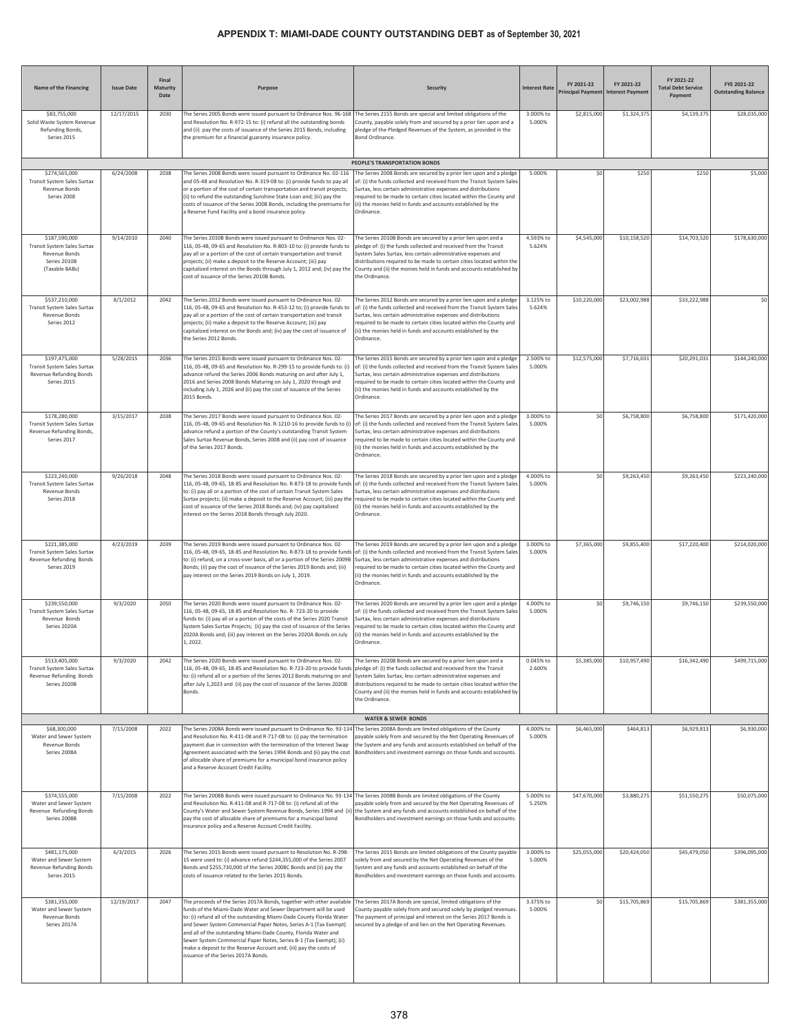| Name of the Financing                                                                           | <b>Issue Date</b> | Final<br>Maturity<br>Date | Purpose                                                                                                                                                                                                                                                                                                                                                                                                                                                                                                                                   | <b>Security</b>                                                                                                                                                                                                                                                                                                                                                                                          | <b>Interest Rate</b> | FY 2021-22<br><b>Principal Payment</b> | FY 2021-22<br><b>Interest Payment</b> | FY 2021-22<br><b>Total Debt Service</b><br>Payment | FYE 2021-22<br><b>Outstanding Balance</b> |
|-------------------------------------------------------------------------------------------------|-------------------|---------------------------|-------------------------------------------------------------------------------------------------------------------------------------------------------------------------------------------------------------------------------------------------------------------------------------------------------------------------------------------------------------------------------------------------------------------------------------------------------------------------------------------------------------------------------------------|----------------------------------------------------------------------------------------------------------------------------------------------------------------------------------------------------------------------------------------------------------------------------------------------------------------------------------------------------------------------------------------------------------|----------------------|----------------------------------------|---------------------------------------|----------------------------------------------------|-------------------------------------------|
| \$83,755,000<br>Solid Waste System Revenue<br>Refunding Bonds,<br>Series 2015                   | 12/17/2015        | 2030                      | The Series 2005 Bonds were issued pursuant to Ordinance Nos. 96-168<br>and Resolution No. R-972-15 to: (i) refund all the outstanding bonds<br>and (ii) pay the costs of issuance of the Series 2015 Bonds, including<br>the premium for a financial guaranty insurance policy.                                                                                                                                                                                                                                                           | The Series 2155 Bonds are special and limited obligations of the<br>County, payable solely from and secured by a prior lien upon and a<br>pledge of the Pledged Revenues of the System, as provided in the<br>Bond Ordinance                                                                                                                                                                             | 3.000% to<br>5.000%  | \$2,815,000                            | \$1,324,375                           | \$4,139,375                                        | \$28,035,000                              |
|                                                                                                 |                   |                           |                                                                                                                                                                                                                                                                                                                                                                                                                                                                                                                                           | PEOPLE'S TRANSPORTATION BONDS                                                                                                                                                                                                                                                                                                                                                                            |                      |                                        |                                       |                                                    |                                           |
| \$274,565,000<br>Transit System Sales Surtax<br>Revenue Bonds<br>Series 2008                    | 6/24/2008         | 2038                      | The Series 2008 Bonds were issued pursuant to Ordinance No. 02-116<br>and 05-48 and Resolution No. R-319-08 to: (i) provide funds to pay all<br>or a portion of the cost of certain transportation and transit projects;<br>(ii) to refund the outstanding Sunshine State Loan and; (iii) pay the<br>costs of issuance of the Series 2008 Bonds, including the premiums for<br>a Reserve Fund Facility and a bond insurance policy.                                                                                                       | The Series 2008 Bonds are secured by a prior lien upon and a pledge<br>of: (i) the funds collected and received from the Transit System Sales<br>Surtax, less certain administrative expenses and distributions<br>equired to be made to certain cities located within the County and<br>(ii) the monies held in funds and accounts established by the<br>Ordinance.                                     | 5.000%               | \$C                                    | \$250                                 | \$250                                              | \$5,000                                   |
| \$187,590,000<br>Transit System Sales Surtax<br>Revenue Bonds<br>Series 2010B<br>(Taxable BABs) | 9/14/2010         | 2040                      | The Series 2010B Bonds were issued pursuant to Ordinance Nos. 02-<br>116, 05-48, 09-65 and Resolution No. R-803-10 to: (i) provide funds to<br>pay all or a portion of the cost of certain transportation and transit<br>projects; (ii) make a deposit to the Reserve Account; (iii) pay<br>capitalized interest on the Bonds through July 1, 2012 and; (iv) pay the<br>cost of issuance of the Series 2010B Bonds.                                                                                                                       | The Series 2010B Bonds are secured by a prior lien upon and a<br>pledge of: (i) the funds collected and received from the Transit<br>System Sales Surtax, less certain administrative expenses and<br>distributions required to be made to certain cities located within the<br>County and (ii) the monies held in funds and accounts established by<br>the Ordinance.                                   | 4.593% to<br>5.624%  | \$4,545,000                            | \$10,158,520                          | \$14,703,520                                       | \$178,630,000                             |
| \$537,210,000                                                                                   | 8/1/2012          | 2042                      | The Series 2012 Bonds were issued pursuant to Ordinance Nos. 02-                                                                                                                                                                                                                                                                                                                                                                                                                                                                          | The Series 2012 Bonds are secured by a prior lien upon and a pledge                                                                                                                                                                                                                                                                                                                                      | 3.125% to            | \$10,220,000                           | \$23,002,988                          | \$33,222,988                                       | \$0                                       |
| Transit System Sales Surtax<br>Revenue Bonds<br>Series 2012                                     |                   |                           | 116, 05-48, 09-65 and Resolution No. R-453-12 to; (i) provide funds to<br>pay all or a portion of the cost of certain transportation and transit<br>projects; (ii) make a deposit to the Reserve Account; (iii) pay<br>capitalized interest on the Bonds and; (iv) pay the cost of issuance of<br>the Series 2012 Bonds.                                                                                                                                                                                                                  | of: (i) the funds collected and received from the Transit System Sales<br>Surtax, less certain administrative expenses and distributions<br>required to be made to certain cities located within the County and<br>(ii) the monies held in funds and accounts established by the<br>Ordinance.                                                                                                           | 5.624%               |                                        |                                       |                                                    |                                           |
| \$197,475,000<br>Transit System Sales Surtax<br>Revenue Refunding Bonds<br>Series 2015          | 5/28/2015         | 2036                      | The Series 2015 Bonds were issued pursuant to Ordinance Nos. 02-<br>116, 05-48, 09-65 and Resolution No. R-299-15 to provide funds to: (i)<br>advance refund the Series 2006 Bonds maturing on and after July 1,<br>2016 and Series 2008 Bonds Maturing on July 1, 2020 through and<br>including July 1, 2026 and (ii) pay the cost of issuance of the Series<br>2015 Bonds.                                                                                                                                                              | The Series 2015 Bonds are secured by a prior lien upon and a pledge<br>of: (i) the funds collected and received from the Transit System Sales<br>Surtax, less certain administrative expenses and distributions<br>required to be made to certain cities located within the County and<br>(ii) the monies held in funds and accounts established by the<br>Ordinance.                                    | 2.500% to<br>5.000%  | \$12,575,000                           | \$7,716,031                           | \$20,291,031                                       | \$144,240,000                             |
| \$178,280,000<br>Transit System Sales Surtax<br>Revenue Refunding Bonds,<br>Series 2017         | 3/15/2017         | 2038                      | The Series 2017 Bonds were issued pursuant to Ordinance Nos. 02-<br>116, 05-48, 09-65 and Resolution No. R-1210-16 to provide funds to (i<br>advance refund a portion of the County's outstanding Transit System<br>Sales Surtax Revenue Bonds, Series 2008 and (ii) pay cost of issuance<br>of the Series 2017 Bonds.                                                                                                                                                                                                                    | The Series 2017 Bonds are secured by a prior lien upon and a pledge<br>of: (i) the funds collected and received from the Transit System Sales<br>Surtax, less certain administrative expenses and distributions<br>equired to be made to certain cities located within the County and<br>(ii) the monies held in funds and accounts established by the<br>Ordinance.                                     | 3.000% to<br>5.000%  | \$C                                    | \$6,758,800                           | \$6,758,800                                        | \$171,420,000                             |
| \$223,240,000<br>Transit System Sales Surtax<br>Revenue Bonds<br>Series 2018                    | 9/26/2018         | 2048                      | The Series 2018 Bonds were issued pursuant to Ordinance Nos. 02-<br>116, 05-48, 09-65, 18-85 and Resolution No. R-873-18 to provide fund<br>to: (i) pay all or a portion of the cost of certain Transit System Sales<br>Surtax projects; (ii) make a deposit to the Reserve Account; (iii) pay the<br>cost of issuance of the Series 2018 Bonds and; (iv) pay capitalized<br>interest on the Series 2018 Bonds through July 2020.                                                                                                         | The Series 2018 Bonds are secured by a prior lien upon and a pledge<br>of: (i) the funds collected and received from the Transit System Sales<br>Surtax, less certain administrative expenses and distributions<br>required to be made to certain cities located within the County and<br>(ii) the monies held in funds and accounts established by the<br>Ordinance.                                    | 4.000% to<br>5.000%  | \$0                                    | \$9,263,450                           | \$9,263,450                                        | \$223,240,000                             |
| \$221,385,000<br>Transit System Sales Surtax<br>Revenue Refunding Bonds<br>Series 2019          | 4/23/2019         | 2039                      | The Series 2019 Bonds were issued pursuant to Ordinance Nos. 02-<br>116, 05-48, 09-65, 18-85 and Resolution No. R-873-18 to provide fund<br>to: (i) refund, on a cross-over basis, all or a portion of the Series 2009B<br>Bonds; (ii) pay the cost of issuance of the Series 2019 Bonds and; (iii)<br>pay interest on the Series 2019 Bonds on July 1, 2019.                                                                                                                                                                             | The Series 2019 Bonds are secured by a prior lien upon and a pledge<br>of: (i) the funds collected and received from the Transit System Sales<br>Surtax, less certain administrative expenses and distributions<br>required to be made to certain cities located within the County and<br>(ii) the monies held in funds and accounts established by the<br>Ordinance.                                    | 3.000% to<br>5.000%  | \$7,365,000                            | \$9,855,400                           | \$17,220,400                                       | \$214,020,000                             |
| \$239,550,000<br><b>Transit System Sales Surtax</b><br>Revenue Bonds<br>Series 2020A            | 9/3/2020          | 2050                      | The Series 2020 Bonds were issued pursuant to Ordinance Nos. 02-<br>116, 05-48, 09-65, 18-85 and Resolution No. R-723-20 to provide<br>funds to: (i) pay all or a portion of the costs of the Series 2020 Transit<br>System Sales Surtax Projects; (ii) pay the cost of issuance of the Series<br>2020A Bonds and; (iii) pay interest on the Series 2020A Bonds on July<br>1, 2022.                                                                                                                                                       | The Series 2020 Bonds are secured by a prior lien upon and a pledge<br>of: (i) the funds collected and received from the Transit System Sales<br>iurtax, less certain administrative expenses and distributions<br>required to be made to certain cities located within the County and<br>(ii) the monies held in funds and accounts established by the<br>Ordinance.                                    | 4.000% to<br>5.000%  | \$0                                    | \$9,746,150                           | \$9,746,150                                        | \$239,550,000                             |
| \$513,405,000<br><b>Transit System Sales Surtax</b><br>Revenue Refunding Bonds<br>Series 2020B  | 9/3/2020          | 2042                      | The Series 2020 Bonds were issued pursuant to Ordinance Nos. 02-<br>116, 05-48, 09-65, 18-85 and Resolution No. R-723-20 to provide funds<br>to: (i) refund all or a portion of the Series 2012 Bonds maturing on and<br>after July 1,2023 and (ii) pay the cost of issuance of the Series 2020B<br>Bonds.                                                                                                                                                                                                                                | The Series 2020B Bonds are secured by a prior lien upon and a<br>pledge of: (i) the funds collected and received from the Transit<br>System Sales Surtax, less certain administrative expenses and<br>distributions required to be made to certain cities located within the<br>County and (ii) the monies held in funds and accounts established by<br>the Ordinance.<br><b>WATER &amp; SEWER BONDS</b> | 0.045% to<br>2.600%  | \$5,385,000                            | \$10,957,490                          | \$16,342,490                                       | \$499,715,000                             |
| \$68,300,000                                                                                    | 7/15/2008         | 2022                      | The Series 2008A Bonds were issued pursuant to Ordinance No. 93-134                                                                                                                                                                                                                                                                                                                                                                                                                                                                       | The Series 2008A Bonds are limited obligations of the County                                                                                                                                                                                                                                                                                                                                             | 4.000% to            | \$6,465,000                            | \$464,813                             | \$6,929,813                                        | \$6,930,000                               |
| Water and Sewer System<br>Revenue Bonds<br>Series 2008A                                         |                   |                           | and Resolution No. R-411-08 and R-717-08 to: (i) pay the termination<br>payment due in connection with the termination of the Interest Swap<br>Agreement associated with the Series 1994 Bonds and (ii) pay the cost<br>of allocable share of premiums for a municipal bond insurance policy<br>and a Reserve Account Credit Facility.                                                                                                                                                                                                    | payable solely from and secured by the Net Operating Revenues of<br>the System and any funds and accounts established on behalf of the<br>Bondholders and investment earnings on those funds and accounts.                                                                                                                                                                                               | 5.000%               |                                        |                                       |                                                    |                                           |
| \$374,555,000<br>Water and Sewer System<br>Revenue Refunding Bonds<br>Series 2008B              | 7/15/2008         | 2022                      | The Series 2008B Bonds were issued pursuant to Ordinance No. 93-134 The Series 2008B Bonds are limited obligations of the County<br>and Resolution No. R-411-08 and R-717-08 to: (i) refund all of the<br>County's Water and Sewer System Revenue Bonds, Series 1994 and (ii)<br>pay the cost of allocable share of premiums for a municipal bond<br>insurance policy and a Reserve Account Credit Facility.                                                                                                                              | payable solely from and secured by the Net Operating Revenues of<br>the System and any funds and accounts established on behalf of the<br>Bondholders and investment earnings on those funds and accounts.                                                                                                                                                                                               | 5.000% to<br>5.250%  | \$47,670,000                           | \$3,880,275                           | \$51,550,275                                       | \$50,075,000                              |
| \$481,175,000<br>Water and Sewer System<br>Revenue Refunding Bonds<br>Series 2015               | 6/3/2015          | 2026                      | The Series 2015 Bonds were issued pursuant to Resolution No. R-298-<br>15 were used to: (i) advance refund \$244,355,000 of the Series 2007<br>Bonds and \$255,730,000 of the Series 2008C Bonds and (ii) pay the<br>costs of issuance related to the Series 2015 Bonds.                                                                                                                                                                                                                                                                  | The Series 2015 Bonds are limited obligations of the County payable<br>solely from and secured by the Net Operating Revenues of the<br>System and any funds and accounts established on behalf of the<br>Bondholders and investment earnings on those funds and accounts.                                                                                                                                | 3.000% to<br>5.000%  | \$25,055,000                           | \$20,424,050                          | \$45,479,050                                       | \$396,095,000                             |
| \$381,355,000<br>Water and Sewer System<br>Revenue Bonds<br>Series 2017A                        | 12/19/2017        | 2047                      | The proceeds of the Series 2017A Bonds, together with other available<br>funds of the Miami-Dade Water and Sewer Department will be used<br>to: (i) refund all of the outstanding Miami-Dade County Florida Water<br>and Sewer System Commercial Paper Notes, Series A-1 (Tax Exempt)<br>and all of the outstanding Miami-Dade County, Florida Water and<br>Sewer System Commercial Paper Notes, Series B-1 (Tax Exempt); (ii)<br>make a deposit to the Reserve Account and; (iii) pay the costs of<br>ssuance of the Series 2017A Bonds. | The Series 2017A Bonds are special, limited obligations of the<br>County payable solely from and secured solely by pledged revenues.<br>The payment of principal and interest on the Series 2017 Bonds is<br>secured by a pledge of and lien on the Net Operating Revenues.                                                                                                                              | 3.375% to<br>5.000%  | \$0                                    | \$15,705,869                          | \$15,705,869                                       | \$381,355,000                             |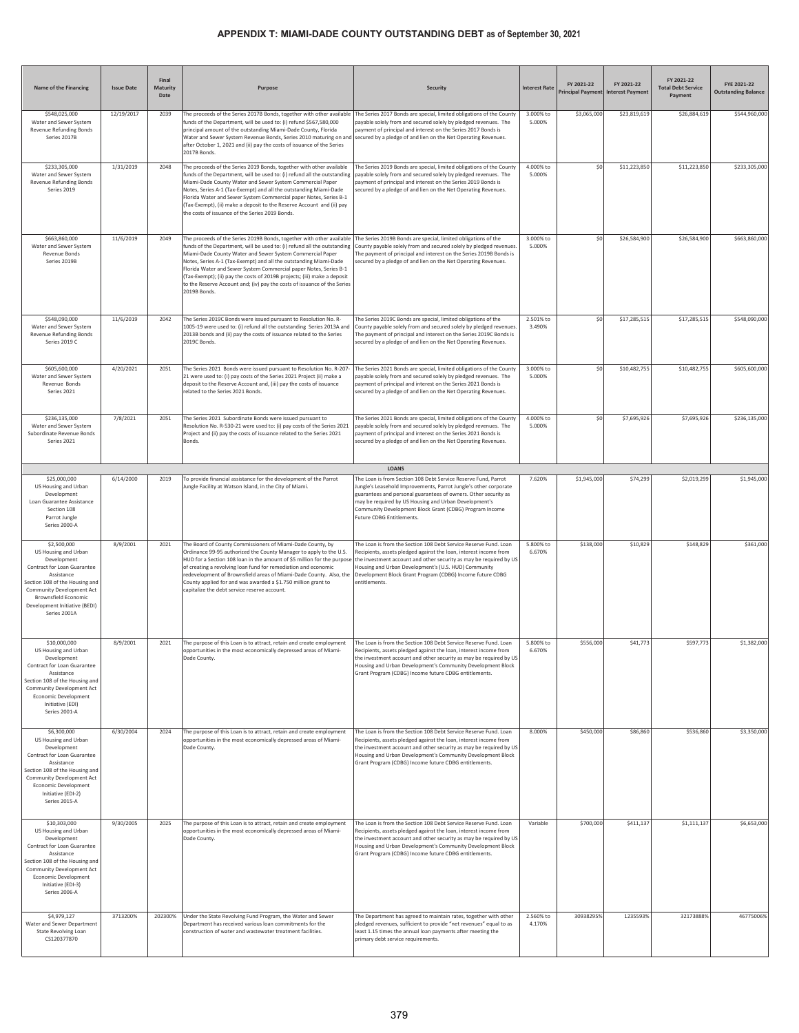| Name of the Financing                                                                                                                                                                                                                   | <b>Issue Date</b> | Final<br>Maturity<br>Date | Purpose                                                                                                                                                                                                                                                                                                                                                                                                                                                                                                                          | <b>Security</b>                                                                                                                                                                                                                                                                                                                                        | <b>Interest Rate</b> | FY 2021-22  | FY 2021-22<br>Principal Payment Interest Payment | FY 2021-22<br><b>Total Debt Service</b><br>Payment | FYE 2021-22<br><b>Outstanding Balance</b> |
|-----------------------------------------------------------------------------------------------------------------------------------------------------------------------------------------------------------------------------------------|-------------------|---------------------------|----------------------------------------------------------------------------------------------------------------------------------------------------------------------------------------------------------------------------------------------------------------------------------------------------------------------------------------------------------------------------------------------------------------------------------------------------------------------------------------------------------------------------------|--------------------------------------------------------------------------------------------------------------------------------------------------------------------------------------------------------------------------------------------------------------------------------------------------------------------------------------------------------|----------------------|-------------|--------------------------------------------------|----------------------------------------------------|-------------------------------------------|
| \$548,025,000<br>Water and Sewer System<br>Revenue Refunding Bonds<br>Series 2017B                                                                                                                                                      | 12/19/2017        | 2039                      | The proceeds of the Series 2017B Bonds, together with other available<br>funds of the Department, will be used to: (i) refund \$567,580,000<br>principal amount of the outstanding Miami-Dade County, Florida<br>Water and Sewer System Revenue Bonds, Series 2010 maturing on and secured by a pledge of and lien on the Net Operating Revenues.<br>after October 1, 2021 and (ii) pay the costs of issuance of the Series<br>2017B Bonds.                                                                                      | The Series 2017 Bonds are special, limited obligations of the County<br>payable solely from and secured solely by pledged revenues. The<br>bayment of principal and interest on the Series 2017 Bonds is                                                                                                                                               | 3.000% to<br>5.000%  | \$3,065,000 | \$23,819,619                                     | \$26,884,619                                       | \$544,960,000                             |
| \$233,305,000<br>Water and Sewer System<br>Revenue Refunding Bonds<br>Series 2019                                                                                                                                                       | 1/31/2019         | 2048                      | The proceeds of the Series 2019 Bonds, together with other available<br>funds of the Department, will be used to: (i) refund all the outstanding<br>Miami-Dade County Water and Sewer System Commercial Paper<br>Notes, Series A-1 (Tax-Exempt) and all the outstanding Miami-Dade<br>Florida Water and Sewer System Commercial paper Notes, Series B-1<br>Tax-Exempt), (ii) make a deposit to the Reserve Account and (ii) pay<br>the costs of issuance of the Series 2019 Bonds.                                               | The Series 2019 Bonds are special, limited obligations of the County<br>payable solely from and secured solely by pledged revenues. The<br>payment of principal and interest on the Series 2019 Bonds is<br>secured by a pledge of and lien on the Net Operating Revenues.                                                                             | 4.000% to<br>5.000%  | \$0         | \$11,223,850                                     | \$11,223,850                                       | \$233,305,000                             |
| \$663,860,000<br>Water and Sewer System<br><b>Revenue Bonds</b><br>Series 2019B                                                                                                                                                         | 11/6/2019         | 2049                      | The proceeds of the Series 2019B Bonds, together with other available<br>funds of the Department, will be used to: (i) refund all the outstanding<br>Miami-Dade County Water and Sewer System Commercial Paper<br>Notes, Series A-1 (Tax-Exempt) and all the outstanding Miami-Dade<br>Florida Water and Sewer System Commercial paper Notes, Series B-1<br>(Tax-Exempt); (ii) pay the costs of 2019B projects; (iii) make a deposit<br>to the Reserve Account and; (iv) pay the costs of issuance of the Series<br>2019B Bonds. | The Series 2019B Bonds are special, limited obligations of the<br>County payable solely from and secured solely by pledged revenues<br>The payment of principal and interest on the Series 2019B Bonds is<br>ecured by a pledge of and lien on the Net Operating Revenues.                                                                             | 3.000% to<br>5.000%  | \$0         | \$26,584,900                                     | \$26,584,900                                       | \$663,860,000                             |
| \$548,090,000<br>Water and Sewer System<br>Revenue Refunding Bonds<br>Series 2019 C                                                                                                                                                     | 11/6/2019         | 2042                      | The Series 2019C Bonds were issued pursuant to Resolution No. R-<br>1005-19 were used to: (i) refund all the outstanding Series 2013A and<br>2013B bonds and (ii) pay the costs of issuance related to the Series<br>2019C Bonds.                                                                                                                                                                                                                                                                                                | The Series 2019C Bonds are special, limited obligations of the<br>County payable solely from and secured solely by pledged revenues<br>The payment of principal and interest on the Series 2019C Bonds is<br>secured by a pledge of and lien on the Net Operating Revenues.                                                                            | 2.501% to<br>3.490%  | \$0         | \$17,285,515                                     | \$17,285,515                                       | \$548,090,000                             |
| \$605,600,000<br>Water and Sewer System<br>Revenue Bonds<br>Series 2021                                                                                                                                                                 | 4/20/2021         | 2051                      | The Series 2021 Bonds were issued pursuant to Resolution No. R-207-<br>21 were used to: (i) pay costs of the Series 2021 Project (ii) make a<br>deposit to the Reserve Account and, (iii) pay the costs of issuance<br>related to the Series 2021 Bonds.                                                                                                                                                                                                                                                                         | The Series 2021 Bonds are special, limited obligations of the County<br>payable solely from and secured solely by pledged revenues. The<br>payment of principal and interest on the Series 2021 Bonds is<br>secured by a pledge of and lien on the Net Operating Revenues.                                                                             | 3.000% to<br>5.000%  | \$0         | \$10,482,755                                     | \$10,482,755                                       | \$605,600,000                             |
| \$236,135,000<br>Water and Sewer System<br>Subordinate Revenue Bonds<br>Series 2021                                                                                                                                                     | 7/8/2021          | 2051                      | The Series 2021 Subordinate Bonds were issued pursuant to<br>Resolution No. R-530-21 were used to: (i) pay costs of the Series 2021<br>Project and (ii) pay the costs of issuance related to the Series 2021<br>Bonds.                                                                                                                                                                                                                                                                                                           | The Series 2021 Bonds are special, limited obligations of the County<br>payable solely from and secured solely by pledged revenues. The<br>payment of principal and interest on the Series 2021 Bonds is<br>secured by a pledge of and lien on the Net Operating Revenues.                                                                             | 4.000% to<br>5.000%  | \$0         | \$7,695,926                                      | \$7,695,926                                        | \$236,135,000                             |
|                                                                                                                                                                                                                                         |                   |                           |                                                                                                                                                                                                                                                                                                                                                                                                                                                                                                                                  | LOANS                                                                                                                                                                                                                                                                                                                                                  |                      |             |                                                  |                                                    |                                           |
| \$25,000,000<br>US Housing and Urban<br>Development<br>Loan Guarantee Assistance<br>Section 108<br>Parrot Jungle<br>Series 2000-A                                                                                                       | 6/14/2000         | 2019                      | To provide financial assistance for the development of the Parrot<br>Jungle Facility at Watson Island, in the City of Miami.                                                                                                                                                                                                                                                                                                                                                                                                     | The Loan is from Section 108 Debt Service Reserve Fund, Parrot<br>Jungle's Leasehold Improvements, Parrot Jungle's other corporate<br>guarantees and personal guarantees of owners. Other security as<br>may be required by US Housing and Urban Development's<br>Community Development Block Grant (CDBG) Program Income<br>Future CDBG Entitlements. | 7.620%               | \$1,945,000 | \$74,299                                         | \$2,019,299                                        | \$1,945,000                               |
| \$2,500,000<br>US Housing and Urban<br>Development<br>Contract for Loan Guarantee<br>Assistance<br>Section 108 of the Housing and<br>Community Development Act<br>Brownsfield Economic<br>Development Initiative (BEDI)<br>Series 2001A | 8/9/2001          | 2021                      | The Board of County Commissioners of Miami-Dade County, by<br>Ordinance 99-95 authorized the County Manager to apply to the U.S.<br>HUD for a Section 108 loan in the amount of \$5 million for the purpose<br>of creating a revolving loan fund for remediation and economic<br>redevelopment of Brownsfield areas of Miami-Dade County. Also, the<br>County applied for and was awarded a \$1.750 million grant to<br>capitalize the debt service reserve account.                                                             | The Loan is from the Section 108 Debt Service Reserve Fund. Loan<br>Recipients, assets pledged against the loan, interest income from<br>the investment account and other security as may be required by US<br>lousing and Urban Development's (U.S. HUD) Community<br>Development Block Grant Program (CDBG) Income future CDBG<br>entitlements.      | 5.800% to<br>6.670%  | \$138,000   | \$10,829                                         | \$148,829                                          | \$361,000                                 |
| \$10,000,000<br>US Housing and Urban<br>Development<br>Contract for Loan Guarantee<br>Assistance<br>Section 108 of the Housing and<br>Community Development Act<br><b>Economic Development</b><br>Initiative (EDI)<br>Series 2001-A     | 8/9/2001          | 2021                      | The purpose of this Loan is to attract, retain and create employment<br>pportunities in the most economically depressed areas of Miami-<br>Dade County.                                                                                                                                                                                                                                                                                                                                                                          | The Loan is from the Section 108 Debt Service Reserve Fund. Loan<br>Recipients, assets pledged against the loan, interest income from<br>the investment account and other security as may be required by US<br>Housing and Urban Development's Community Development Block<br>Grant Program (CDBG) Income future CDBG entitlements.                    | 5.800% to<br>6.670%  | \$556,000   | \$41,773                                         | \$597,773                                          | \$1,382,000                               |
| \$6,300,000<br>US Housing and Urban<br>Development<br>Contract for Loan Guarantee<br>Assistance<br>Section 108 of the Housing and<br>Community Development Act<br>Economic Development<br>Initiative (EDI-2)<br>Series 2015-A           | 6/30/2004         | 2024                      | The purpose of this Loan is to attract, retain and create employment<br>opportunities in the most economically depressed areas of Miami-<br>Dade County.                                                                                                                                                                                                                                                                                                                                                                         | The Loan is from the Section 108 Debt Service Reserve Fund. Loan<br>Recipients, assets pledged against the loan, interest income from<br>the investment account and other security as may be required by US<br>lousing and Urban Development's Community Development Block<br>Grant Program (CDBG) Income future CDBG entitlements.                    | 8.000%               | \$450,000   | \$86,860                                         | \$536,860                                          | \$3,350,000                               |
| \$10,303,000<br>US Housing and Urban<br>Development<br>Contract for Loan Guarantee<br>Assistance<br>Section 108 of the Housing and<br>Community Development Act<br>Economic Development<br>Initiative (EDI-3)<br>Series 2006-A          | 9/30/2005         | 2025                      | The purpose of this Loan is to attract, retain and create employment<br>opportunities in the most economically depressed areas of Miami-<br>Dade County.                                                                                                                                                                                                                                                                                                                                                                         | The Loan is from the Section 108 Debt Service Reserve Fund. Loan<br>Recipients, assets pledged against the loan, interest income from<br>the investment account and other security as may be required by US<br>Housing and Urban Development's Community Development Block<br>Grant Program (CDBG) Income future CDBG entitlements.                    | Variable             | \$700,000   | \$411,137                                        | \$1,111,137                                        | \$6,653,000                               |
| \$4,979,127<br>Water and Sewer Department<br>State Revolving Loan<br>CS120377870                                                                                                                                                        | 3713200%          | 202300%                   | Under the State Revolving Fund Program, the Water and Sewer<br>Department has received various loan commitments for the<br>construction of water and wastewater treatment facilities.                                                                                                                                                                                                                                                                                                                                            | The Department has agreed to maintain rates, together with other<br>bledged revenues, sufficient to provide "net revenues" equal to as<br>least 1.15 times the annual loan payments after meeting the<br>primary debt service requirements.                                                                                                            | 2.560% to<br>4.170%  | 30938295%   | 1235593%                                         | 32173888%                                          | 46775006%                                 |